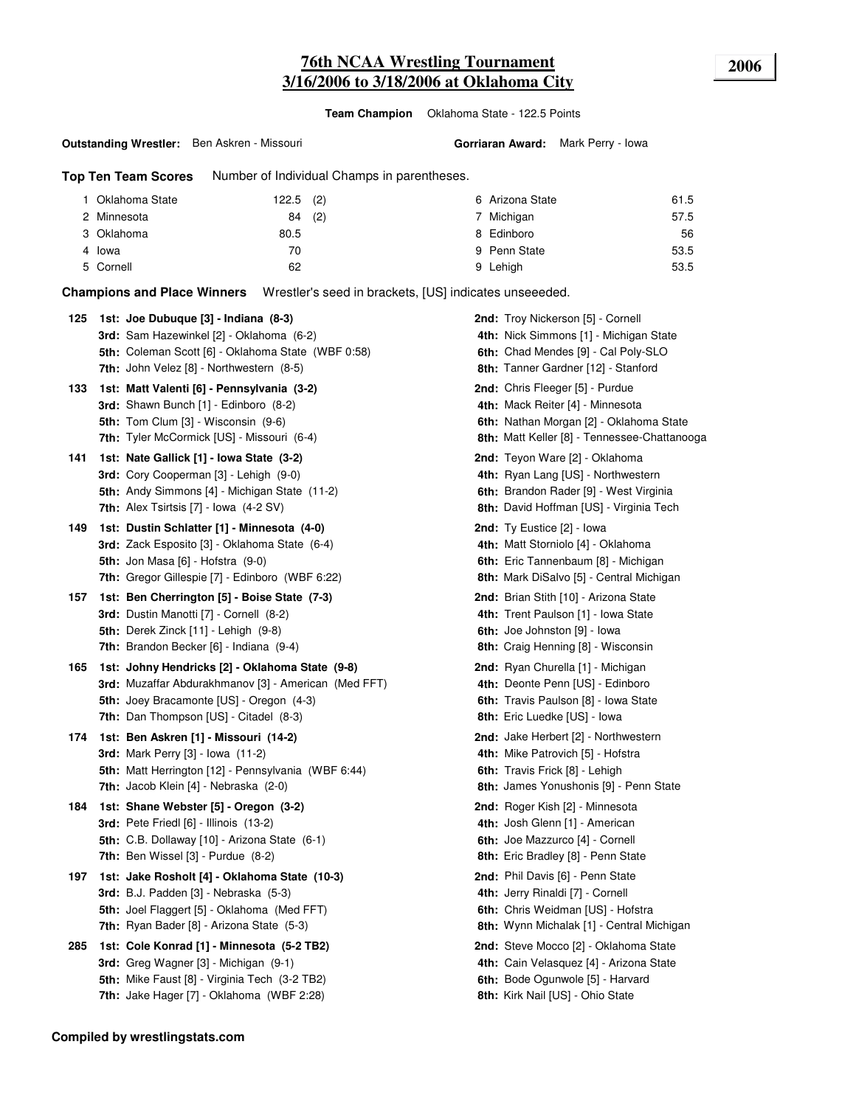## **76th NCAA Wrestling Tournament 2006 3/16/2006 to 3/18/2006 at Oklahoma City**

**Team Champion** Oklahoma State - 122.5 Points

**Outstanding Wrestler:** Ben Askren - Missouri

#### **Gorriaran Award:** Mark Perry - Iowa

**Top Ten Team Scores** Number of Individual Champs in parentheses.

| 1 Oklahoma State | $122.5$ (2) | 6 Arizona State | 61.5 |
|------------------|-------------|-----------------|------|
| 2 Minnesota      | (2)<br>84   | Michigan        | 57.5 |
| 3 Oklahoma       | 80.5        | 8 Edinboro      | 56   |
| 4 Iowa           | 70          | 9 Penn State    | 53.5 |
| 5 Cornell        | 62          | 9 Lehigh        | 53.5 |

**Champions and Place Winners** Wrestler's seed in brackets, [US] indicates unseeeded.

| 125 | 1st: Joe Dubuque [3] - Indiana (8-3)<br>3rd: Sam Hazewinkel [2] - Oklahoma (6-2)<br>5th: Coleman Scott [6] - Oklahoma State (WBF 0:58)<br>7th: John Velez [8] - Northwestern (8-5)                   | 2nd: Troy Nickerson [5] - Cornell<br>4th: Nick Simmons [1] - Michigan State<br>6th: Chad Mendes [9] - Cal Poly-SLO<br>8th: Tanner Gardner [12] - Stanford      |
|-----|------------------------------------------------------------------------------------------------------------------------------------------------------------------------------------------------------|----------------------------------------------------------------------------------------------------------------------------------------------------------------|
| 133 | 1st: Matt Valenti [6] - Pennsylvania (3-2)<br>3rd: Shawn Bunch [1] - Edinboro (8-2)<br><b>5th:</b> Tom Clum [3] - Wisconsin (9-6)<br>7th: Tyler McCormick [US] - Missouri (6-4)                      | 2nd: Chris Fleeger [5] - Purdue<br>4th: Mack Reiter [4] - Minnesota<br>6th: Nathan Morgan [2] - Oklahoma State<br>8th: Matt Keller [8] - Tennessee-Chattanooga |
| 141 | 1st: Nate Gallick [1] - Iowa State (3-2)<br>3rd: Cory Cooperman [3] - Lehigh (9-0)<br>5th: Andy Simmons [4] - Michigan State (11-2)<br><b>7th:</b> Alex Tsirtsis $[7]$ - Iowa $(4-2 SV)$             | 2nd: Teyon Ware [2] - Oklahoma<br>4th: Ryan Lang [US] - Northwestern<br>6th: Brandon Rader [9] - West Virginia<br>8th: David Hoffman [US] - Virginia Tech      |
| 149 | 1st: Dustin Schlatter [1] - Minnesota (4-0)<br><b>3rd:</b> Zack Esposito [3] - Oklahoma State (6-4)<br><b>5th:</b> Jon Masa [6] - Hofstra (9-0)<br>7th: Gregor Gillespie [7] - Edinboro (WBF 6:22)   | <b>2nd:</b> Ty Eustice [2] - Iowa<br>4th: Matt Storniolo [4] - Oklahoma<br>6th: Eric Tannenbaum [8] - Michigan<br>8th: Mark DiSalvo [5] - Central Michigan     |
| 157 | 1st: Ben Cherrington [5] - Boise State (7-3)<br>3rd: Dustin Manotti [7] - Cornell (8-2)<br>5th: Derek Zinck [11] - Lehigh (9-8)<br>7th: Brandon Becker [6] - Indiana (9-4)                           | 2nd: Brian Stith [10] - Arizona State<br>4th: Trent Paulson [1] - Iowa State<br>6th: Joe Johnston [9] - lowa<br>8th: Craig Henning [8] - Wisconsin             |
| 165 | 1st: Johny Hendricks [2] - Oklahoma State (9-8)<br>3rd: Muzaffar Abdurakhmanov [3] - American (Med FFT)<br>5th: Joey Bracamonte [US] - Oregon (4-3)<br><b>7th:</b> Dan Thompson [US] - Citadel (8-3) | 2nd: Ryan Churella [1] - Michigan<br>4th: Deonte Penn [US] - Edinboro<br>6th: Travis Paulson [8] - Iowa State<br>8th: Eric Luedke [US] - lowa                  |
| 174 | 1st: Ben Askren [1] - Missouri (14-2)<br><b>3rd:</b> Mark Perry [3] - Iowa (11-2)<br><b>5th:</b> Matt Herrington [12] - Pennsylvania (WBF 6:44)<br><b>7th:</b> Jacob Klein [4] - Nebraska (2-0)      | <b>2nd:</b> Jake Herbert [2] - Northwestern<br>4th: Mike Patrovich [5] - Hofstra<br>6th: Travis Frick [8] - Lehigh<br>8th: James Yonushonis [9] - Penn State   |
| 184 | 1st: Shane Webster [5] - Oregon (3-2)<br><b>3rd:</b> Pete Friedl [6] - Illinois (13-2)<br>5th: C.B. Dollaway [10] - Arizona State (6-1)<br>7th: Ben Wissel $[3]$ - Purdue $(8-2)$                    | 2nd: Roger Kish [2] - Minnesota<br>4th: Josh Glenn [1] - American<br>6th: Joe Mazzurco [4] - Cornell<br>8th: Eric Bradley [8] - Penn State                     |
| 197 | 1st: Jake Rosholt [4] - Oklahoma State (10-3)<br><b>3rd:</b> B.J. Padden [3] - Nebraska (5-3)<br>5th: Joel Flaggert [5] - Oklahoma (Med FFT)<br><b>7th:</b> Ryan Bader [8] - Arizona State (5-3)     | 2nd: Phil Davis [6] - Penn State<br>4th: Jerry Rinaldi [7] - Cornell<br>6th: Chris Weidman [US] - Hofstra<br><b>8th:</b> Wynn Michalak [1] - Central Michigan  |
| 285 | 1st: Cole Konrad [1] - Minnesota (5-2 TB2)<br>3rd: Greg Wagner [3] - Michigan (9-1)<br>5th: Mike Faust [8] - Virginia Tech (3-2 TB2)<br>7th: Jake Hager [7] - Oklahoma (WBF 2:28)                    | 2nd: Steve Mocco [2] - Oklahoma State<br>4th: Cain Velasquez [4] - Arizona State<br>6th: Bode Ogunwole [5] - Harvard<br>8th: Kirk Nail [US] - Ohio State       |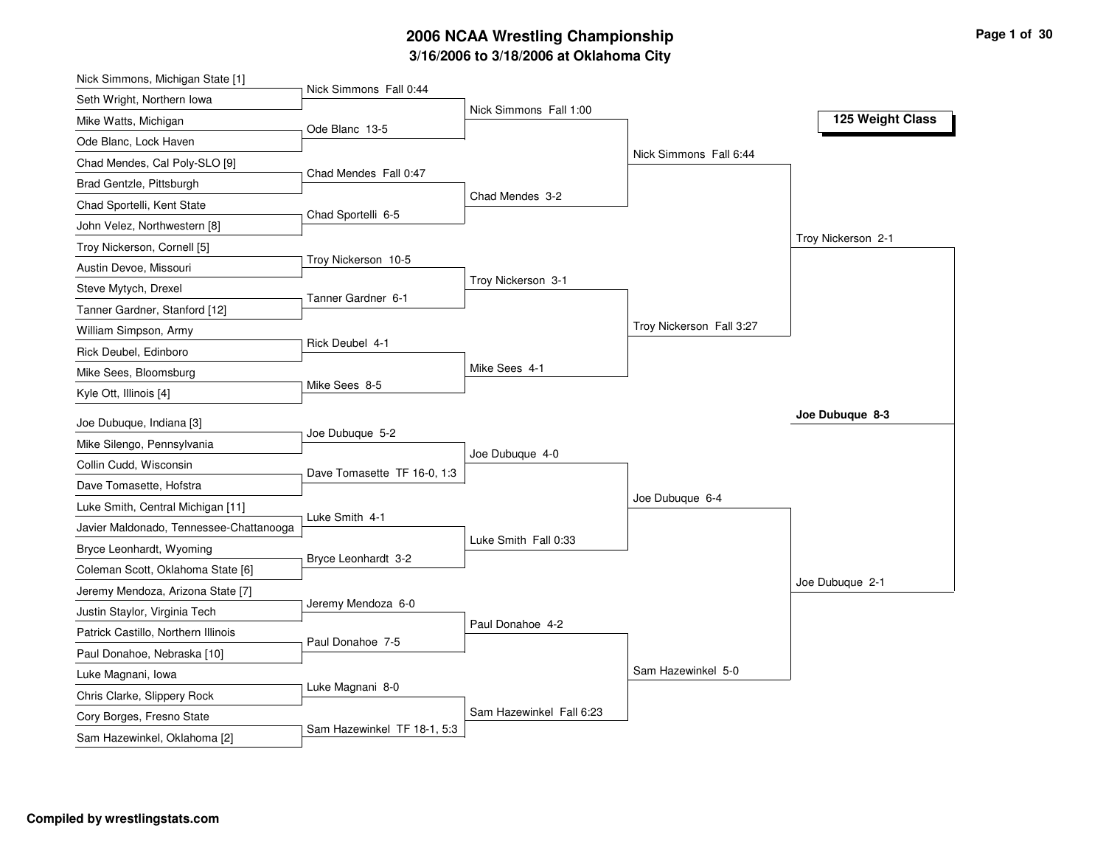# **3/16/2006 to 3/18/2006 at Oklahoma City 2006 NCAA Wrestling Championship Page 1 of 30**

| Nick Simmons Fall 0:44<br>Seth Wright, Northern Iowa<br>Nick Simmons Fall 1:00<br>125 Weight Class<br>Mike Watts, Michigan<br>Ode Blanc 13-5<br>Ode Blanc, Lock Haven<br>Nick Simmons Fall 6:44<br>Chad Mendes, Cal Poly-SLO [9]<br>Chad Mendes Fall 0:47<br>Brad Gentzle, Pittsburgh<br>Chad Mendes 3-2<br>Chad Sportelli, Kent State<br>Chad Sportelli 6-5<br>John Velez, Northwestern [8]<br>Troy Nickerson 2-1<br>Troy Nickerson, Cornell [5]<br>Troy Nickerson 10-5<br>Austin Devoe, Missouri<br>Troy Nickerson 3-1<br>Steve Mytych, Drexel<br>Tanner Gardner 6-1<br>Tanner Gardner, Stanford [12]<br>Troy Nickerson Fall 3:27<br>William Simpson, Army<br>Rick Deubel 4-1<br>Rick Deubel, Edinboro<br>Mike Sees 4-1<br>Mike Sees, Bloomsburg<br>Mike Sees 8-5<br>Kyle Ott, Illinois [4]<br>Joe Dubuque 8-3<br>Joe Dubuque, Indiana [3]<br>Joe Dubuque 5-2<br>Mike Silengo, Pennsylvania<br>Joe Dubuque 4-0<br>Collin Cudd, Wisconsin<br>Dave Tomasette TF 16-0, 1:3<br>Dave Tomasette, Hofstra<br>Joe Dubuque 6-4<br>Luke Smith, Central Michigan [11]<br>Luke Smith 4-1<br>Javier Maldonado, Tennessee-Chattanooga<br>Luke Smith Fall 0:33<br>Bryce Leonhardt, Wyoming<br>Bryce Leonhardt 3-2<br>Coleman Scott, Oklahoma State [6]<br>Joe Dubuque 2-1<br>Jeremy Mendoza, Arizona State [7]<br>Jeremy Mendoza 6-0<br>Justin Staylor, Virginia Tech<br>Paul Donahoe 4-2<br>Patrick Castillo, Northern Illinois<br>Paul Donahoe 7-5<br>Paul Donahoe, Nebraska [10]<br>Sam Hazewinkel 5-0<br>Luke Magnani, Iowa<br>Luke Magnani 8-0<br>Chris Clarke, Slippery Rock | Nick Simmons, Michigan State [1] |                          |  |
|-----------------------------------------------------------------------------------------------------------------------------------------------------------------------------------------------------------------------------------------------------------------------------------------------------------------------------------------------------------------------------------------------------------------------------------------------------------------------------------------------------------------------------------------------------------------------------------------------------------------------------------------------------------------------------------------------------------------------------------------------------------------------------------------------------------------------------------------------------------------------------------------------------------------------------------------------------------------------------------------------------------------------------------------------------------------------------------------------------------------------------------------------------------------------------------------------------------------------------------------------------------------------------------------------------------------------------------------------------------------------------------------------------------------------------------------------------------------------------------------------------------------------------------------------------------------------|----------------------------------|--------------------------|--|
|                                                                                                                                                                                                                                                                                                                                                                                                                                                                                                                                                                                                                                                                                                                                                                                                                                                                                                                                                                                                                                                                                                                                                                                                                                                                                                                                                                                                                                                                                                                                                                       |                                  |                          |  |
|                                                                                                                                                                                                                                                                                                                                                                                                                                                                                                                                                                                                                                                                                                                                                                                                                                                                                                                                                                                                                                                                                                                                                                                                                                                                                                                                                                                                                                                                                                                                                                       |                                  |                          |  |
|                                                                                                                                                                                                                                                                                                                                                                                                                                                                                                                                                                                                                                                                                                                                                                                                                                                                                                                                                                                                                                                                                                                                                                                                                                                                                                                                                                                                                                                                                                                                                                       |                                  |                          |  |
|                                                                                                                                                                                                                                                                                                                                                                                                                                                                                                                                                                                                                                                                                                                                                                                                                                                                                                                                                                                                                                                                                                                                                                                                                                                                                                                                                                                                                                                                                                                                                                       |                                  |                          |  |
|                                                                                                                                                                                                                                                                                                                                                                                                                                                                                                                                                                                                                                                                                                                                                                                                                                                                                                                                                                                                                                                                                                                                                                                                                                                                                                                                                                                                                                                                                                                                                                       |                                  |                          |  |
|                                                                                                                                                                                                                                                                                                                                                                                                                                                                                                                                                                                                                                                                                                                                                                                                                                                                                                                                                                                                                                                                                                                                                                                                                                                                                                                                                                                                                                                                                                                                                                       |                                  |                          |  |
|                                                                                                                                                                                                                                                                                                                                                                                                                                                                                                                                                                                                                                                                                                                                                                                                                                                                                                                                                                                                                                                                                                                                                                                                                                                                                                                                                                                                                                                                                                                                                                       |                                  |                          |  |
|                                                                                                                                                                                                                                                                                                                                                                                                                                                                                                                                                                                                                                                                                                                                                                                                                                                                                                                                                                                                                                                                                                                                                                                                                                                                                                                                                                                                                                                                                                                                                                       |                                  |                          |  |
|                                                                                                                                                                                                                                                                                                                                                                                                                                                                                                                                                                                                                                                                                                                                                                                                                                                                                                                                                                                                                                                                                                                                                                                                                                                                                                                                                                                                                                                                                                                                                                       |                                  |                          |  |
|                                                                                                                                                                                                                                                                                                                                                                                                                                                                                                                                                                                                                                                                                                                                                                                                                                                                                                                                                                                                                                                                                                                                                                                                                                                                                                                                                                                                                                                                                                                                                                       |                                  |                          |  |
|                                                                                                                                                                                                                                                                                                                                                                                                                                                                                                                                                                                                                                                                                                                                                                                                                                                                                                                                                                                                                                                                                                                                                                                                                                                                                                                                                                                                                                                                                                                                                                       |                                  |                          |  |
|                                                                                                                                                                                                                                                                                                                                                                                                                                                                                                                                                                                                                                                                                                                                                                                                                                                                                                                                                                                                                                                                                                                                                                                                                                                                                                                                                                                                                                                                                                                                                                       |                                  |                          |  |
|                                                                                                                                                                                                                                                                                                                                                                                                                                                                                                                                                                                                                                                                                                                                                                                                                                                                                                                                                                                                                                                                                                                                                                                                                                                                                                                                                                                                                                                                                                                                                                       |                                  |                          |  |
|                                                                                                                                                                                                                                                                                                                                                                                                                                                                                                                                                                                                                                                                                                                                                                                                                                                                                                                                                                                                                                                                                                                                                                                                                                                                                                                                                                                                                                                                                                                                                                       |                                  |                          |  |
|                                                                                                                                                                                                                                                                                                                                                                                                                                                                                                                                                                                                                                                                                                                                                                                                                                                                                                                                                                                                                                                                                                                                                                                                                                                                                                                                                                                                                                                                                                                                                                       |                                  |                          |  |
|                                                                                                                                                                                                                                                                                                                                                                                                                                                                                                                                                                                                                                                                                                                                                                                                                                                                                                                                                                                                                                                                                                                                                                                                                                                                                                                                                                                                                                                                                                                                                                       |                                  |                          |  |
|                                                                                                                                                                                                                                                                                                                                                                                                                                                                                                                                                                                                                                                                                                                                                                                                                                                                                                                                                                                                                                                                                                                                                                                                                                                                                                                                                                                                                                                                                                                                                                       |                                  |                          |  |
|                                                                                                                                                                                                                                                                                                                                                                                                                                                                                                                                                                                                                                                                                                                                                                                                                                                                                                                                                                                                                                                                                                                                                                                                                                                                                                                                                                                                                                                                                                                                                                       |                                  |                          |  |
|                                                                                                                                                                                                                                                                                                                                                                                                                                                                                                                                                                                                                                                                                                                                                                                                                                                                                                                                                                                                                                                                                                                                                                                                                                                                                                                                                                                                                                                                                                                                                                       |                                  |                          |  |
|                                                                                                                                                                                                                                                                                                                                                                                                                                                                                                                                                                                                                                                                                                                                                                                                                                                                                                                                                                                                                                                                                                                                                                                                                                                                                                                                                                                                                                                                                                                                                                       |                                  |                          |  |
|                                                                                                                                                                                                                                                                                                                                                                                                                                                                                                                                                                                                                                                                                                                                                                                                                                                                                                                                                                                                                                                                                                                                                                                                                                                                                                                                                                                                                                                                                                                                                                       |                                  |                          |  |
|                                                                                                                                                                                                                                                                                                                                                                                                                                                                                                                                                                                                                                                                                                                                                                                                                                                                                                                                                                                                                                                                                                                                                                                                                                                                                                                                                                                                                                                                                                                                                                       |                                  |                          |  |
|                                                                                                                                                                                                                                                                                                                                                                                                                                                                                                                                                                                                                                                                                                                                                                                                                                                                                                                                                                                                                                                                                                                                                                                                                                                                                                                                                                                                                                                                                                                                                                       |                                  |                          |  |
|                                                                                                                                                                                                                                                                                                                                                                                                                                                                                                                                                                                                                                                                                                                                                                                                                                                                                                                                                                                                                                                                                                                                                                                                                                                                                                                                                                                                                                                                                                                                                                       |                                  |                          |  |
|                                                                                                                                                                                                                                                                                                                                                                                                                                                                                                                                                                                                                                                                                                                                                                                                                                                                                                                                                                                                                                                                                                                                                                                                                                                                                                                                                                                                                                                                                                                                                                       |                                  |                          |  |
|                                                                                                                                                                                                                                                                                                                                                                                                                                                                                                                                                                                                                                                                                                                                                                                                                                                                                                                                                                                                                                                                                                                                                                                                                                                                                                                                                                                                                                                                                                                                                                       |                                  |                          |  |
|                                                                                                                                                                                                                                                                                                                                                                                                                                                                                                                                                                                                                                                                                                                                                                                                                                                                                                                                                                                                                                                                                                                                                                                                                                                                                                                                                                                                                                                                                                                                                                       |                                  |                          |  |
|                                                                                                                                                                                                                                                                                                                                                                                                                                                                                                                                                                                                                                                                                                                                                                                                                                                                                                                                                                                                                                                                                                                                                                                                                                                                                                                                                                                                                                                                                                                                                                       |                                  |                          |  |
|                                                                                                                                                                                                                                                                                                                                                                                                                                                                                                                                                                                                                                                                                                                                                                                                                                                                                                                                                                                                                                                                                                                                                                                                                                                                                                                                                                                                                                                                                                                                                                       |                                  |                          |  |
|                                                                                                                                                                                                                                                                                                                                                                                                                                                                                                                                                                                                                                                                                                                                                                                                                                                                                                                                                                                                                                                                                                                                                                                                                                                                                                                                                                                                                                                                                                                                                                       |                                  |                          |  |
| Cory Borges, Fresno State<br>Sam Hazewinkel TF 18-1, 5:3<br>Sam Hazewinkel, Oklahoma [2]                                                                                                                                                                                                                                                                                                                                                                                                                                                                                                                                                                                                                                                                                                                                                                                                                                                                                                                                                                                                                                                                                                                                                                                                                                                                                                                                                                                                                                                                              |                                  | Sam Hazewinkel Fall 6:23 |  |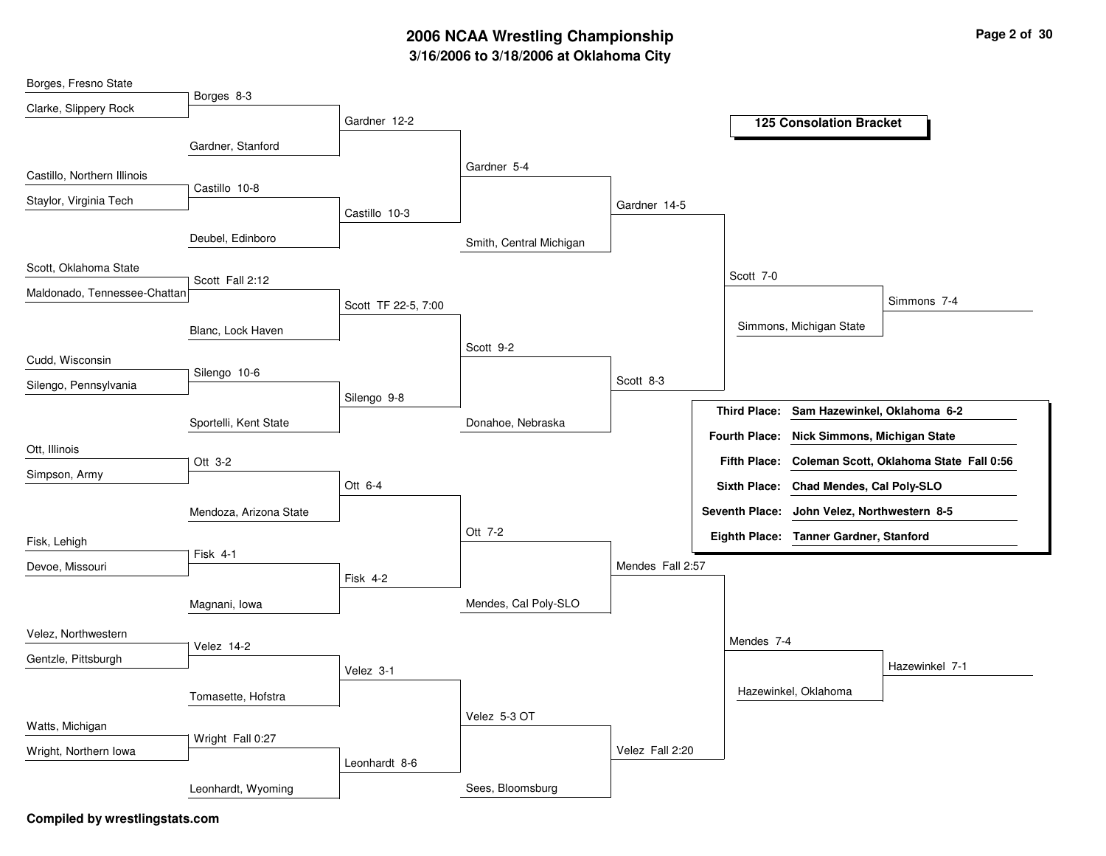# **3/16/2006 to 3/18/2006 at Oklahoma City 2006 NCAA Wrestling Championship Page 2 of 30**

| Borges, Fresno State         |                        |                     |                         |                  |                     |                                             |                                                      |
|------------------------------|------------------------|---------------------|-------------------------|------------------|---------------------|---------------------------------------------|------------------------------------------------------|
| Clarke, Slippery Rock        | Borges 8-3             |                     |                         |                  |                     |                                             |                                                      |
|                              |                        | Gardner 12-2        |                         |                  |                     | <b>125 Consolation Bracket</b>              |                                                      |
|                              | Gardner, Stanford      |                     |                         |                  |                     |                                             |                                                      |
|                              |                        |                     | Gardner 5-4             |                  |                     |                                             |                                                      |
| Castillo, Northern Illinois  | Castillo 10-8          |                     |                         |                  |                     |                                             |                                                      |
| Staylor, Virginia Tech       |                        |                     |                         | Gardner 14-5     |                     |                                             |                                                      |
|                              |                        | Castillo 10-3       |                         |                  |                     |                                             |                                                      |
|                              | Deubel, Edinboro       |                     | Smith, Central Michigan |                  |                     |                                             |                                                      |
| Scott, Oklahoma State        |                        |                     |                         |                  |                     |                                             |                                                      |
|                              | Scott Fall 2:12        |                     |                         |                  | Scott 7-0           |                                             |                                                      |
| Maldonado, Tennessee-Chattan |                        | Scott TF 22-5, 7:00 |                         |                  |                     |                                             | Simmons 7-4                                          |
|                              | Blanc, Lock Haven      |                     |                         |                  |                     | Simmons, Michigan State                     |                                                      |
|                              |                        |                     | Scott 9-2               |                  |                     |                                             |                                                      |
| Cudd, Wisconsin              | Silengo 10-6           |                     |                         |                  |                     |                                             |                                                      |
| Silengo, Pennsylvania        |                        |                     |                         | Scott 8-3        |                     |                                             |                                                      |
|                              |                        | Silengo 9-8         |                         |                  | <b>Third Place:</b> | Sam Hazewinkel, Oklahoma 6-2                |                                                      |
|                              | Sportelli, Kent State  |                     | Donahoe, Nebraska       |                  |                     |                                             |                                                      |
| Ott, Illinois                |                        |                     |                         |                  |                     | Fourth Place: Nick Simmons, Michigan State  |                                                      |
|                              | Ott 3-2                |                     |                         |                  |                     |                                             | Fifth Place: Coleman Scott, Oklahoma State Fall 0:56 |
| Simpson, Army                |                        | Ott 6-4             |                         |                  | <b>Sixth Place:</b> | Chad Mendes, Cal Poly-SLO                   |                                                      |
|                              | Mendoza, Arizona State |                     |                         |                  |                     | Seventh Place: John Velez, Northwestern 8-5 |                                                      |
|                              |                        |                     | Ott 7-2                 |                  |                     |                                             |                                                      |
| Fisk, Lehigh                 | Fisk 4-1               |                     |                         |                  |                     | Eighth Place: Tanner Gardner, Stanford      |                                                      |
| Devoe, Missouri              |                        |                     |                         | Mendes Fall 2:57 |                     |                                             |                                                      |
|                              |                        | Fisk 4-2            |                         |                  |                     |                                             |                                                      |
|                              | Magnani, Iowa          |                     | Mendes, Cal Poly-SLO    |                  |                     |                                             |                                                      |
| Velez, Northwestern          |                        |                     |                         |                  |                     |                                             |                                                      |
|                              | Velez 14-2             |                     |                         |                  | Mendes 7-4          |                                             |                                                      |
| Gentzle, Pittsburgh          |                        | Velez 3-1           |                         |                  |                     |                                             | Hazewinkel 7-1                                       |
|                              |                        |                     |                         |                  |                     | Hazewinkel, Oklahoma                        |                                                      |
|                              | Tomasette, Hofstra     |                     |                         |                  |                     |                                             |                                                      |
| Watts, Michigan              |                        |                     | Velez 5-3 OT            |                  |                     |                                             |                                                      |
| Wright, Northern Iowa        | Wright Fall 0:27       |                     |                         | Velez Fall 2:20  |                     |                                             |                                                      |
|                              |                        | Leonhardt 8-6       |                         |                  |                     |                                             |                                                      |
|                              | Leonhardt, Wyoming     |                     | Sees, Bloomsburg        |                  |                     |                                             |                                                      |
|                              |                        |                     |                         |                  |                     |                                             |                                                      |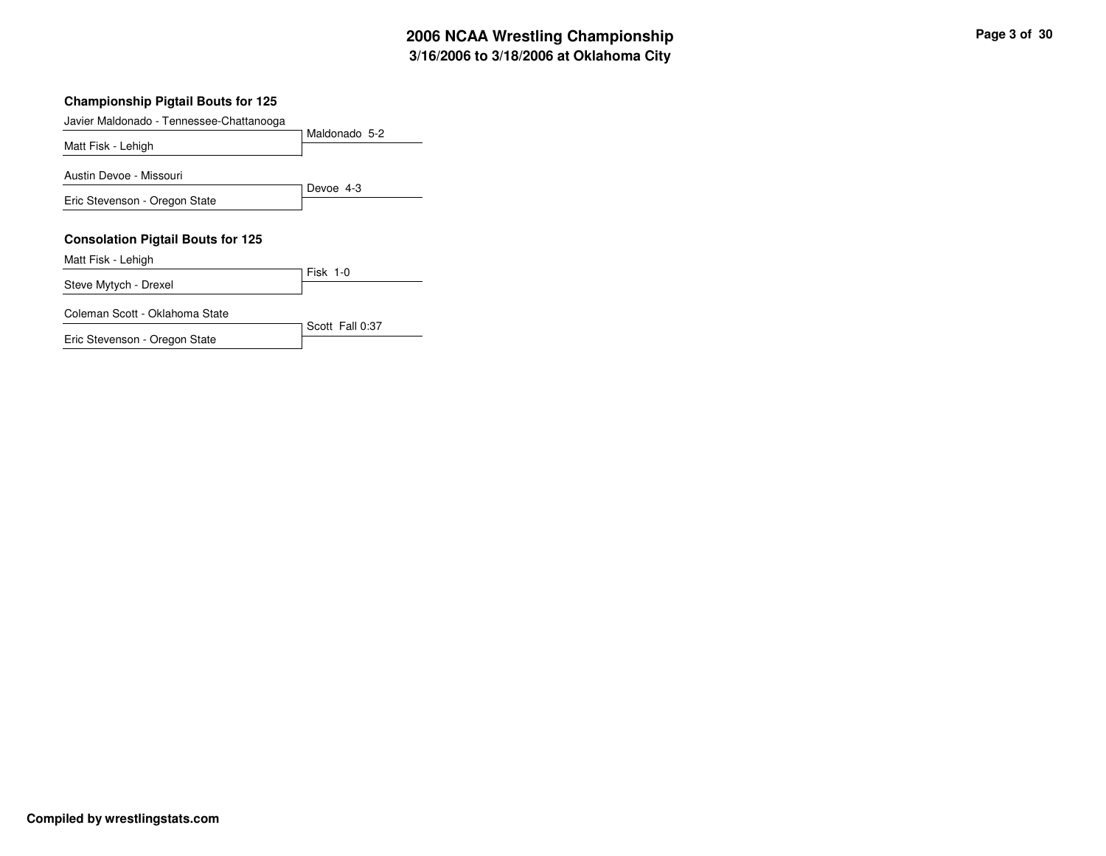#### **Championship Pigtail Bouts for 125**

| Javier Maldonado - Tennessee-Chattanooga |                 |
|------------------------------------------|-----------------|
|                                          | Maldonado 5-2   |
| Matt Fisk - Lehigh                       |                 |
| Austin Devoe - Missouri                  |                 |
|                                          | Devoe 4-3       |
| Eric Stevenson - Oregon State            |                 |
|                                          |                 |
| <b>Consolation Pigtail Bouts for 125</b> |                 |
| Matt Fisk - Lehigh                       |                 |
| Steve Mytych - Drexel                    | $Fisk$ 1-0      |
|                                          |                 |
| Coleman Scott - Oklahoma State           |                 |
|                                          | Scott Fall 0:37 |

Eric Stevenson - Oregon State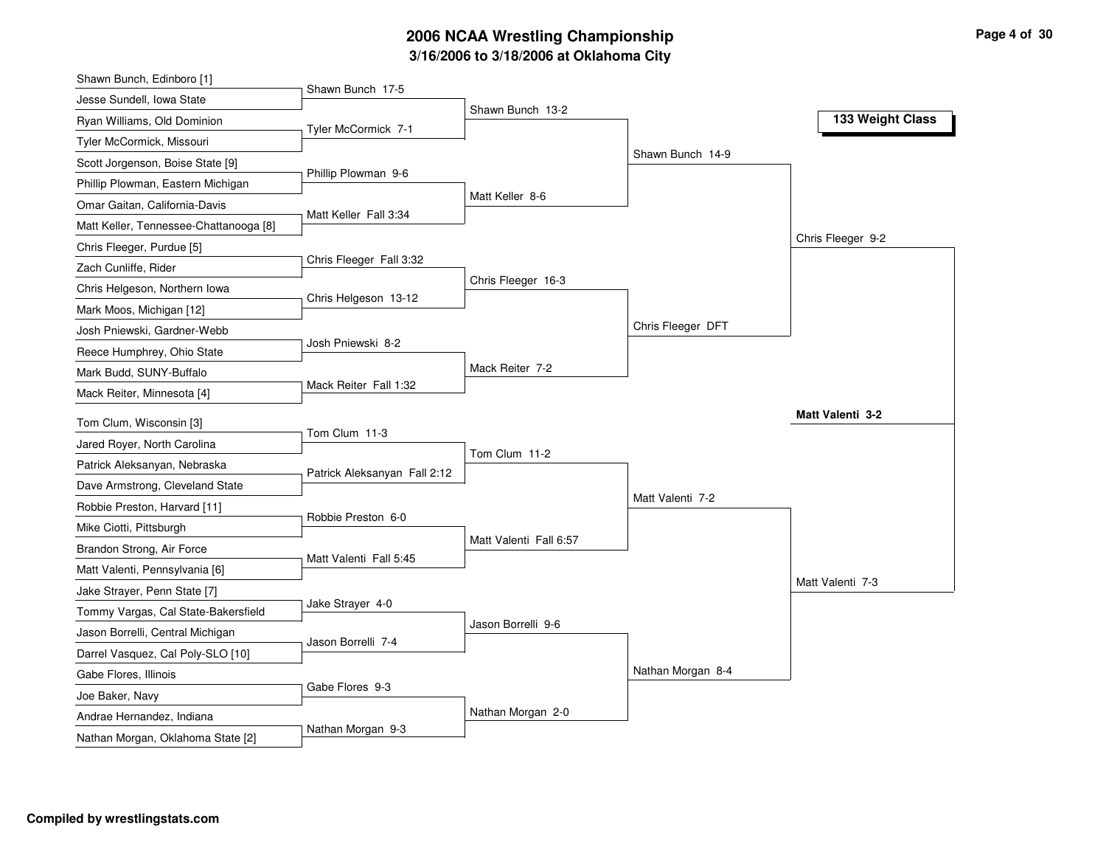# **3/16/2006 to 3/18/2006 at Oklahoma City 2006 NCAA Wrestling Championship Page 4 of 30**

| Shawn Bunch, Edinboro [1]              |                              |                        |                   |                   |
|----------------------------------------|------------------------------|------------------------|-------------------|-------------------|
| Jesse Sundell, Iowa State              | Shawn Bunch 17-5             |                        |                   |                   |
| Ryan Williams, Old Dominion            | Tyler McCormick 7-1          | Shawn Bunch 13-2       |                   | 133 Weight Class  |
| Tyler McCormick, Missouri              |                              |                        |                   |                   |
| Scott Jorgenson, Boise State [9]       |                              |                        | Shawn Bunch 14-9  |                   |
| Phillip Plowman, Eastern Michigan      | Phillip Plowman 9-6          |                        |                   |                   |
| Omar Gaitan, California-Davis          |                              | Matt Keller 8-6        |                   |                   |
| Matt Keller, Tennessee-Chattanooga [8] | Matt Keller Fall 3:34        |                        |                   |                   |
| Chris Fleeger, Purdue [5]              |                              |                        |                   | Chris Fleeger 9-2 |
| Zach Cunliffe, Rider                   | Chris Fleeger Fall 3:32      |                        |                   |                   |
| Chris Helgeson, Northern Iowa          |                              | Chris Fleeger 16-3     |                   |                   |
| Mark Moos, Michigan [12]               | Chris Helgeson 13-12         |                        |                   |                   |
| Josh Pniewski, Gardner-Webb            |                              |                        | Chris Fleeger DFT |                   |
| Reece Humphrey, Ohio State             | Josh Pniewski 8-2            |                        |                   |                   |
| Mark Budd, SUNY-Buffalo                |                              | Mack Reiter 7-2        |                   |                   |
| Mack Reiter, Minnesota [4]             | Mack Reiter Fall 1:32        |                        |                   |                   |
| Tom Clum, Wisconsin [3]                |                              |                        |                   | Matt Valenti 3-2  |
| Jared Royer, North Carolina            | Tom Clum 11-3                |                        |                   |                   |
| Patrick Aleksanyan, Nebraska           |                              | Tom Clum 11-2          |                   |                   |
| Dave Armstrong, Cleveland State        | Patrick Aleksanyan Fall 2:12 |                        |                   |                   |
| Robbie Preston, Harvard [11]           |                              |                        | Matt Valenti 7-2  |                   |
| Mike Ciotti, Pittsburgh                | Robbie Preston 6-0           |                        |                   |                   |
| Brandon Strong, Air Force              |                              | Matt Valenti Fall 6:57 |                   |                   |
| Matt Valenti, Pennsylvania [6]         | Matt Valenti Fall 5:45       |                        |                   |                   |
| Jake Strayer, Penn State [7]           |                              |                        |                   | Matt Valenti 7-3  |
| Tommy Vargas, Cal State-Bakersfield    | Jake Strayer 4-0             |                        |                   |                   |
| Jason Borrelli, Central Michigan       |                              | Jason Borrelli 9-6     |                   |                   |
| Darrel Vasquez, Cal Poly-SLO [10]      | Jason Borrelli 7-4           |                        |                   |                   |
| Gabe Flores, Illinois                  |                              |                        | Nathan Morgan 8-4 |                   |
| Joe Baker, Navy                        | Gabe Flores 9-3              |                        |                   |                   |
| Andrae Hernandez, Indiana              |                              | Nathan Morgan 2-0      |                   |                   |
|                                        | Nathan Morgan 9-3            |                        |                   |                   |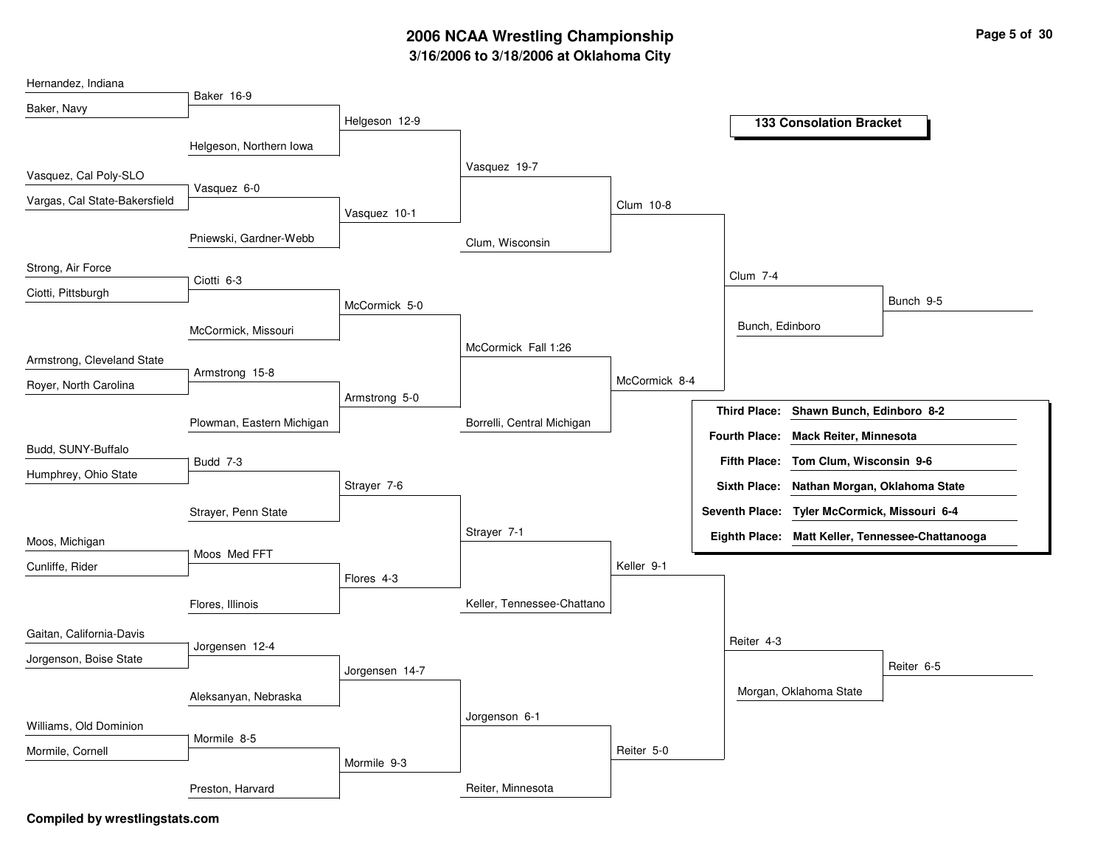# **3/16/2006 to 3/18/2006 at Oklahoma City 2006 NCAA Wrestling Championship Page 5 of 30**

| Hernandez, Indiana            |                           |                |                            |               |                      |                                              |                                                  |
|-------------------------------|---------------------------|----------------|----------------------------|---------------|----------------------|----------------------------------------------|--------------------------------------------------|
| Baker, Navy                   | Baker 16-9                |                |                            |               |                      |                                              |                                                  |
|                               |                           | Helgeson 12-9  |                            |               |                      | <b>133 Consolation Bracket</b>               |                                                  |
|                               | Helgeson, Northern Iowa   |                |                            |               |                      |                                              |                                                  |
|                               |                           |                | Vasquez 19-7               |               |                      |                                              |                                                  |
| Vasquez, Cal Poly-SLO         | Vasquez 6-0               |                |                            |               |                      |                                              |                                                  |
| Vargas, Cal State-Bakersfield |                           | Vasquez 10-1   |                            | Clum 10-8     |                      |                                              |                                                  |
|                               |                           |                |                            |               |                      |                                              |                                                  |
|                               | Pniewski, Gardner-Webb    |                | Clum, Wisconsin            |               |                      |                                              |                                                  |
| Strong, Air Force             |                           |                |                            |               |                      |                                              |                                                  |
| Ciotti, Pittsburgh            | Ciotti 6-3                |                |                            |               | <b>Clum 7-4</b>      |                                              |                                                  |
|                               |                           | McCormick 5-0  |                            |               |                      |                                              | Bunch 9-5                                        |
|                               | McCormick, Missouri       |                |                            |               | Bunch, Edinboro      |                                              |                                                  |
|                               |                           |                | McCormick Fall 1:26        |               |                      |                                              |                                                  |
| Armstrong, Cleveland State    | Armstrong 15-8            |                |                            |               |                      |                                              |                                                  |
| Royer, North Carolina         |                           | Armstrong 5-0  |                            | McCormick 8-4 |                      |                                              |                                                  |
|                               |                           |                |                            |               | <b>Third Place:</b>  | Shawn Bunch, Edinboro 8-2                    |                                                  |
|                               | Plowman, Eastern Michigan |                | Borrelli, Central Michigan |               | <b>Fourth Place:</b> | <b>Mack Reiter, Minnesota</b>                |                                                  |
| Budd, SUNY-Buffalo            |                           |                |                            |               | <b>Fifth Place:</b>  | Tom Clum, Wisconsin 9-6                      |                                                  |
| Humphrey, Ohio State          | Budd 7-3                  |                |                            |               |                      |                                              |                                                  |
|                               |                           | Strayer 7-6    |                            |               | <b>Sixth Place:</b>  | Nathan Morgan, Oklahoma State                |                                                  |
|                               | Strayer, Penn State       |                |                            |               |                      | Seventh Place: Tyler McCormick, Missouri 6-4 |                                                  |
| Moos, Michigan                |                           |                | Strayer 7-1                |               |                      |                                              | Eighth Place: Matt Keller, Tennessee-Chattanooga |
|                               | Moos Med FFT              |                |                            |               |                      |                                              |                                                  |
| Cunliffe, Rider               |                           | Flores 4-3     |                            | Keller 9-1    |                      |                                              |                                                  |
|                               | Flores, Illinois          |                | Keller, Tennessee-Chattano |               |                      |                                              |                                                  |
|                               |                           |                |                            |               |                      |                                              |                                                  |
| Gaitan, California-Davis      |                           |                |                            |               | Reiter 4-3           |                                              |                                                  |
| Jorgenson, Boise State        | Jorgensen 12-4            |                |                            |               |                      |                                              | Reiter 6-5                                       |
|                               |                           | Jorgensen 14-7 |                            |               |                      |                                              |                                                  |
|                               | Aleksanyan, Nebraska      |                |                            |               |                      | Morgan, Oklahoma State                       |                                                  |
| Williams, Old Dominion        |                           |                | Jorgenson 6-1              |               |                      |                                              |                                                  |
|                               | Mormile 8-5               |                |                            |               |                      |                                              |                                                  |
| Mormile, Cornell              |                           | Mormile 9-3    |                            | Reiter 5-0    |                      |                                              |                                                  |
|                               | Preston, Harvard          |                | Reiter, Minnesota          |               |                      |                                              |                                                  |
|                               |                           |                |                            |               |                      |                                              |                                                  |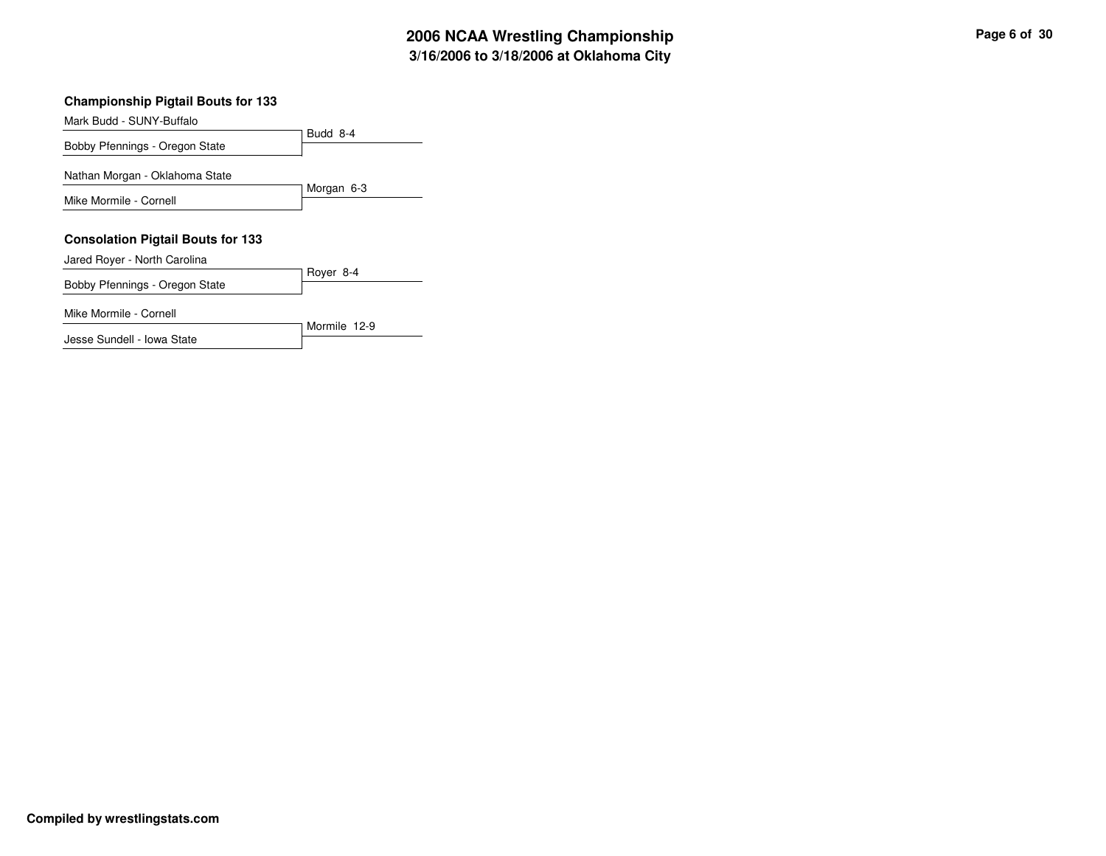#### **Championship Pigtail Bouts for 133**

Budd 8-4 Mark Budd - SUNY-Buffalo Bobby Pfennings - Oregon State Morgan 6-3 Nathan Morgan - Oklahoma State Mike Mormile - Cornell **Consolation Pigtail Bouts for 133** Royer 8-4 Jared Royer - North Carolina Bobby Pfennings - Oregon State

Mormile 12-9

Mike Mormile - Cornell

Jesse Sundell - Iowa State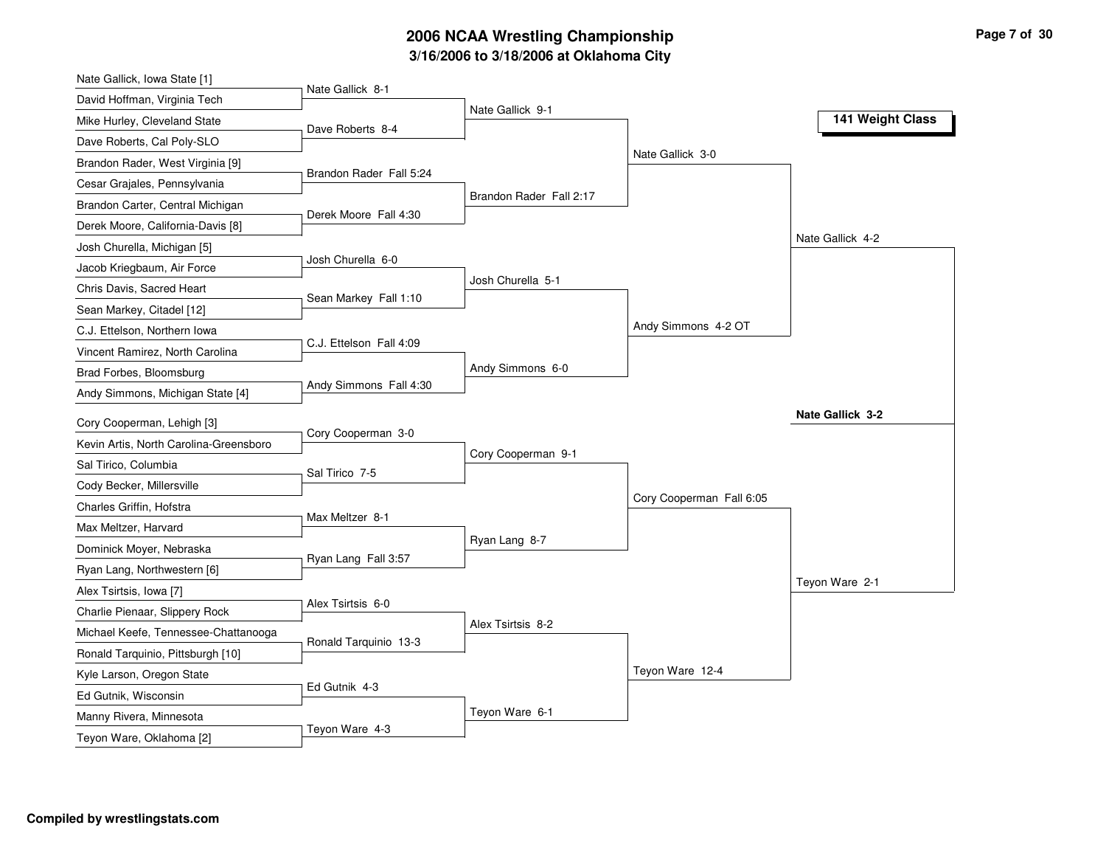# **3/16/2006 to 3/18/2006 at Oklahoma City 2006 NCAA Wrestling Championship Page 7 of 30**

| Nate Gallick, Iowa State [1]           |                         |                         |                          |                  |
|----------------------------------------|-------------------------|-------------------------|--------------------------|------------------|
| David Hoffman, Virginia Tech           | Nate Gallick 8-1        | Nate Gallick 9-1        |                          |                  |
| Mike Hurley, Cleveland State           | Dave Roberts 8-4        |                         |                          | 141 Weight Class |
| Dave Roberts, Cal Poly-SLO             |                         |                         |                          |                  |
| Brandon Rader, West Virginia [9]       |                         |                         | Nate Gallick 3-0         |                  |
| Cesar Grajales, Pennsylvania           | Brandon Rader Fall 5:24 |                         |                          |                  |
| Brandon Carter, Central Michigan       |                         | Brandon Rader Fall 2:17 |                          |                  |
| Derek Moore, California-Davis [8]      | Derek Moore Fall 4:30   |                         |                          |                  |
| Josh Churella, Michigan [5]            |                         |                         |                          | Nate Gallick 4-2 |
| Jacob Kriegbaum, Air Force             | Josh Churella 6-0       |                         |                          |                  |
| Chris Davis, Sacred Heart              |                         | Josh Churella 5-1       |                          |                  |
| Sean Markey, Citadel [12]              | Sean Markey Fall 1:10   |                         |                          |                  |
| C.J. Ettelson, Northern Iowa           |                         |                         | Andy Simmons 4-2 OT      |                  |
| Vincent Ramirez, North Carolina        | C.J. Ettelson Fall 4:09 |                         |                          |                  |
| Brad Forbes, Bloomsburg                |                         | Andy Simmons 6-0        |                          |                  |
| Andy Simmons, Michigan State [4]       | Andy Simmons Fall 4:30  |                         |                          |                  |
| Cory Cooperman, Lehigh [3]             |                         |                         |                          | Nate Gallick 3-2 |
| Kevin Artis, North Carolina-Greensboro | Cory Cooperman 3-0      |                         |                          |                  |
| Sal Tirico, Columbia                   |                         | Cory Cooperman 9-1      |                          |                  |
| Cody Becker, Millersville              | Sal Tirico 7-5          |                         |                          |                  |
| Charles Griffin, Hofstra               |                         |                         | Cory Cooperman Fall 6:05 |                  |
| Max Meltzer, Harvard                   | Max Meltzer 8-1         |                         |                          |                  |
| Dominick Moyer, Nebraska               |                         | Ryan Lang 8-7           |                          |                  |
|                                        | Ryan Lang Fall 3:57     |                         |                          |                  |
| Ryan Lang, Northwestern [6]            |                         |                         |                          | Teyon Ware 2-1   |
| Alex Tsirtsis, Iowa [7]                | Alex Tsirtsis 6-0       |                         |                          |                  |
| Charlie Pienaar, Slippery Rock         |                         | Alex Tsirtsis 8-2       |                          |                  |
| Michael Keefe, Tennessee-Chattanooga   | Ronald Tarquinio 13-3   |                         |                          |                  |
| Ronald Tarquinio, Pittsburgh [10]      |                         |                         | Teyon Ware 12-4          |                  |
| Kyle Larson, Oregon State              | Ed Gutnik 4-3           |                         |                          |                  |
| Ed Gutnik, Wisconsin                   |                         | Teyon Ware 6-1          |                          |                  |
| Manny Rivera, Minnesota                | Teyon Ware 4-3          |                         |                          |                  |
| Teyon Ware, Oklahoma [2]               |                         |                         |                          |                  |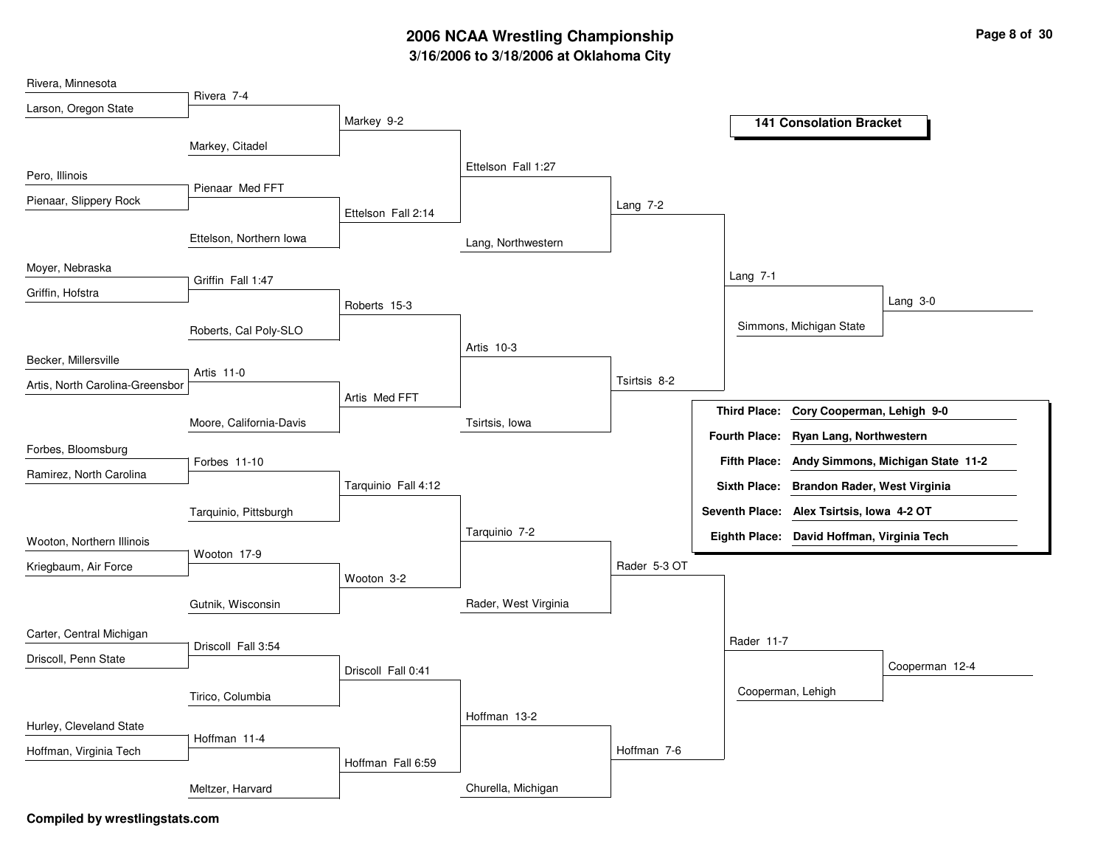# **3/16/2006 to 3/18/2006 at Oklahoma City 2006 NCAA Wrestling Championship Page 8 of 30**

| Rivera, Minnesota               |                         |                     |                      |              |                                                          |
|---------------------------------|-------------------------|---------------------|----------------------|--------------|----------------------------------------------------------|
| Larson, Oregon State            | Rivera 7-4              | Markey 9-2          |                      |              |                                                          |
|                                 |                         |                     |                      |              | <b>141 Consolation Bracket</b>                           |
|                                 | Markey, Citadel         |                     |                      |              |                                                          |
| Pero, Illinois                  |                         |                     | Ettelson Fall 1:27   |              |                                                          |
| Pienaar, Slippery Rock          | Pienaar Med FFT         |                     |                      | Lang $7-2$   |                                                          |
|                                 |                         | Ettelson Fall 2:14  |                      |              |                                                          |
|                                 | Ettelson, Northern Iowa |                     | Lang, Northwestern   |              |                                                          |
| Moyer, Nebraska                 |                         |                     |                      |              | Lang 7-1                                                 |
| Griffin, Hofstra                | Griffin Fall 1:47       |                     |                      |              | Lang $3-0$                                               |
|                                 |                         | Roberts 15-3        |                      |              |                                                          |
|                                 | Roberts, Cal Poly-SLO   |                     | Artis 10-3           |              | Simmons, Michigan State                                  |
| Becker, Millersville            |                         |                     |                      |              |                                                          |
| Artis, North Carolina-Greensbor | Artis 11-0              |                     |                      | Tsirtsis 8-2 |                                                          |
|                                 |                         | Artis Med FFT       |                      |              | <b>Third Place:</b><br>Cory Cooperman, Lehigh 9-0        |
|                                 | Moore, California-Davis |                     | Tsirtsis, lowa       |              | <b>Fourth Place:</b><br>Ryan Lang, Northwestern          |
| Forbes, Bloomsburg              |                         |                     |                      |              |                                                          |
| Ramirez, North Carolina         | Forbes 11-10            |                     |                      |              | <b>Fifth Place:</b><br>Andy Simmons, Michigan State 11-2 |
|                                 |                         | Tarquinio Fall 4:12 |                      |              | Sixth Place: Brandon Rader, West Virginia                |
|                                 | Tarquinio, Pittsburgh   |                     |                      |              | Seventh Place: Alex Tsirtsis, Iowa 4-2 OT                |
| Wooton, Northern Illinois       |                         |                     | Tarquinio 7-2        |              | Eighth Place: David Hoffman, Virginia Tech               |
| Kriegbaum, Air Force            | Wooton 17-9             |                     |                      | Rader 5-3 OT |                                                          |
|                                 |                         | Wooton 3-2          |                      |              |                                                          |
|                                 | Gutnik, Wisconsin       |                     | Rader, West Virginia |              |                                                          |
| Carter, Central Michigan        |                         |                     |                      |              | Rader 11-7                                               |
| Driscoll, Penn State            | Driscoll Fall 3:54      |                     |                      |              |                                                          |
|                                 |                         | Driscoll Fall 0:41  |                      |              | Cooperman 12-4                                           |
|                                 | Tirico, Columbia        |                     |                      |              | Cooperman, Lehigh                                        |
| Hurley, Cleveland State         |                         |                     | Hoffman 13-2         |              |                                                          |
| Hoffman, Virginia Tech          | Hoffman 11-4            |                     |                      | Hoffman 7-6  |                                                          |
|                                 |                         | Hoffman Fall 6:59   |                      |              |                                                          |
|                                 | Meltzer, Harvard        |                     | Churella, Michigan   |              |                                                          |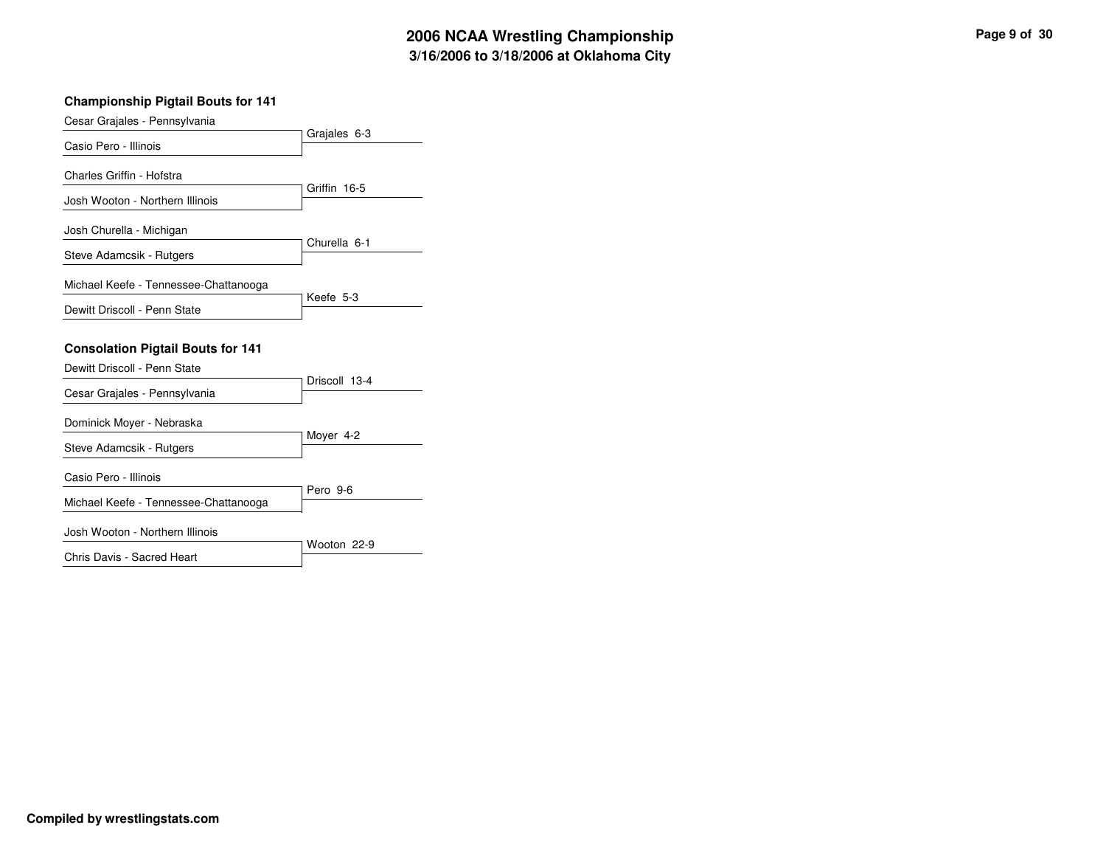#### **Championship Pigtail Bouts for 141**

| Cesar Grajales - Pennsylvania                                            |               |
|--------------------------------------------------------------------------|---------------|
| Casio Pero - Illinois                                                    | Grajales 6-3  |
| Charles Griffin - Hofstra                                                | Griffin 16-5  |
| Josh Wooton - Northern Illinois                                          |               |
| Josh Churella - Michigan                                                 | Churella 6-1  |
| Steve Adamcsik - Rutgers                                                 |               |
| Michael Keefe - Tennessee-Chattanooga                                    | Keefe 5-3     |
| Dewitt Driscoll - Penn State                                             |               |
| <b>Consolation Pigtail Bouts for 141</b><br>Dewitt Driscoll - Penn State |               |
| Cesar Grajales - Pennsylvania                                            | Driscoll 13-4 |
| Dominick Moyer - Nebraska<br>Steve Adamcsik - Rutgers                    | Moyer 4-2     |
| Casio Pero - Illinois                                                    |               |
| Michael Keefe - Tennessee-Chattanooga                                    | Pero 9-6      |
| Josh Wooton - Northern Illinois                                          | Wooton 22-9   |
| Chris Davis - Sacred Heart                                               |               |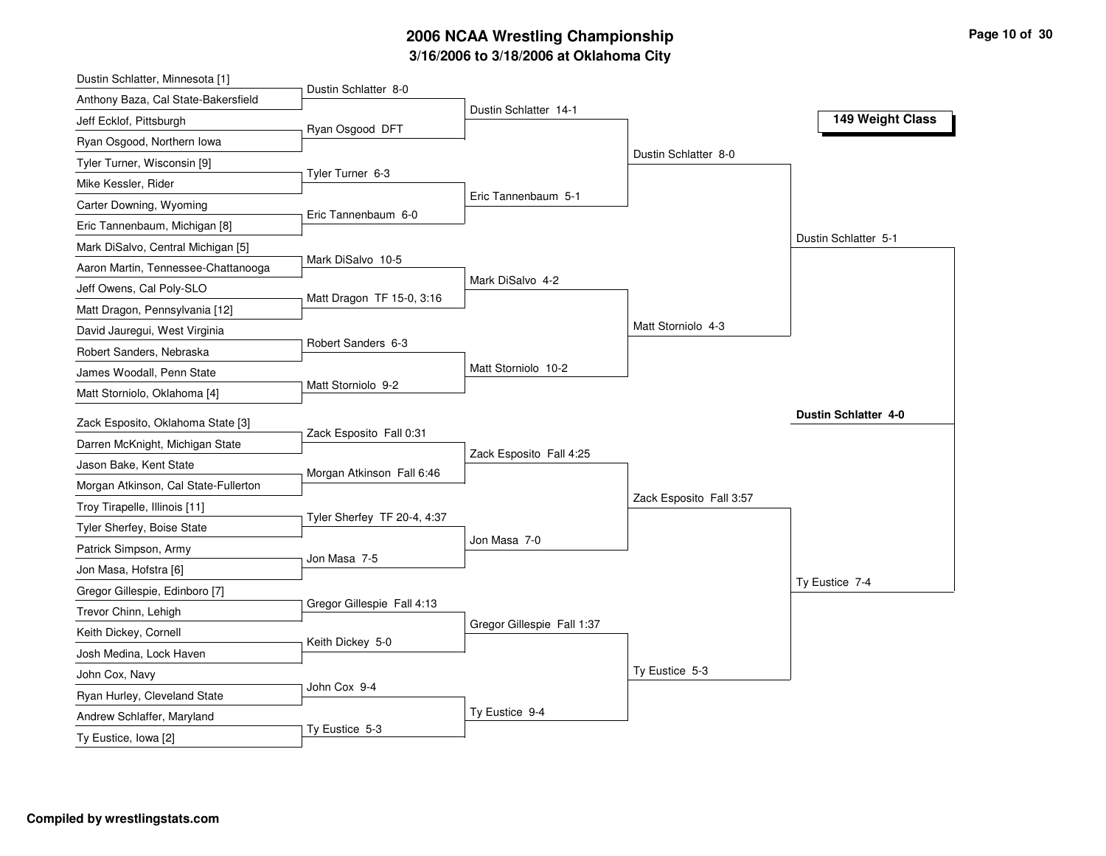# **3/16/2006 to 3/18/2006 at Oklahoma City 2006 NCAA Wrestling Championship Page 10 of 30**

| Dustin Schlatter 8-0<br>Anthony Baza, Cal State-Bakersfield<br>Dustin Schlatter 14-1<br>Jeff Ecklof, Pittsburgh<br>Ryan Osgood DFT<br>Ryan Osgood, Northern Iowa<br>Dustin Schlatter 8-0<br>Tyler Turner, Wisconsin [9]<br>Tyler Turner 6-3<br>Mike Kessler, Rider<br>Eric Tannenbaum 5-1<br>Carter Downing, Wyoming<br>Eric Tannenbaum 6-0<br>Eric Tannenbaum, Michigan [8]<br>Dustin Schlatter 5-1<br>Mark DiSalvo, Central Michigan [5]<br>Mark DiSalvo 10-5<br>Aaron Martin, Tennessee-Chattanooga<br>Mark DiSalvo 4-2<br>Jeff Owens, Cal Poly-SLO<br>Matt Dragon TF 15-0, 3:16<br>Matt Dragon, Pennsylvania [12]<br>Matt Storniolo 4-3<br>David Jauregui, West Virginia<br>Robert Sanders 6-3<br>Robert Sanders, Nebraska |                  |                     | Dustin Schlatter, Minnesota [1] |
|--------------------------------------------------------------------------------------------------------------------------------------------------------------------------------------------------------------------------------------------------------------------------------------------------------------------------------------------------------------------------------------------------------------------------------------------------------------------------------------------------------------------------------------------------------------------------------------------------------------------------------------------------------------------------------------------------------------------------------|------------------|---------------------|---------------------------------|
|                                                                                                                                                                                                                                                                                                                                                                                                                                                                                                                                                                                                                                                                                                                                |                  |                     |                                 |
|                                                                                                                                                                                                                                                                                                                                                                                                                                                                                                                                                                                                                                                                                                                                | 149 Weight Class |                     |                                 |
|                                                                                                                                                                                                                                                                                                                                                                                                                                                                                                                                                                                                                                                                                                                                |                  |                     |                                 |
|                                                                                                                                                                                                                                                                                                                                                                                                                                                                                                                                                                                                                                                                                                                                |                  |                     |                                 |
|                                                                                                                                                                                                                                                                                                                                                                                                                                                                                                                                                                                                                                                                                                                                |                  |                     |                                 |
|                                                                                                                                                                                                                                                                                                                                                                                                                                                                                                                                                                                                                                                                                                                                |                  |                     |                                 |
|                                                                                                                                                                                                                                                                                                                                                                                                                                                                                                                                                                                                                                                                                                                                |                  |                     |                                 |
|                                                                                                                                                                                                                                                                                                                                                                                                                                                                                                                                                                                                                                                                                                                                |                  |                     |                                 |
|                                                                                                                                                                                                                                                                                                                                                                                                                                                                                                                                                                                                                                                                                                                                |                  |                     |                                 |
|                                                                                                                                                                                                                                                                                                                                                                                                                                                                                                                                                                                                                                                                                                                                |                  |                     |                                 |
|                                                                                                                                                                                                                                                                                                                                                                                                                                                                                                                                                                                                                                                                                                                                |                  |                     |                                 |
|                                                                                                                                                                                                                                                                                                                                                                                                                                                                                                                                                                                                                                                                                                                                |                  |                     |                                 |
|                                                                                                                                                                                                                                                                                                                                                                                                                                                                                                                                                                                                                                                                                                                                |                  |                     |                                 |
|                                                                                                                                                                                                                                                                                                                                                                                                                                                                                                                                                                                                                                                                                                                                |                  | Matt Storniolo 10-2 | James Woodall, Penn State       |
| Matt Storniolo 9-2<br>Matt Storniolo, Oklahoma [4]                                                                                                                                                                                                                                                                                                                                                                                                                                                                                                                                                                                                                                                                             |                  |                     |                                 |
| <b>Dustin Schlatter 4-0</b><br>Zack Esposito, Oklahoma State [3]                                                                                                                                                                                                                                                                                                                                                                                                                                                                                                                                                                                                                                                               |                  |                     |                                 |
| Zack Esposito Fall 0:31<br>Darren McKnight, Michigan State                                                                                                                                                                                                                                                                                                                                                                                                                                                                                                                                                                                                                                                                     |                  |                     |                                 |
| Zack Esposito Fall 4:25<br>Jason Bake, Kent State                                                                                                                                                                                                                                                                                                                                                                                                                                                                                                                                                                                                                                                                              |                  |                     |                                 |
| Morgan Atkinson Fall 6:46<br>Morgan Atkinson, Cal State-Fullerton                                                                                                                                                                                                                                                                                                                                                                                                                                                                                                                                                                                                                                                              |                  |                     |                                 |
| Zack Esposito Fall 3:57<br>Troy Tirapelle, Illinois [11]                                                                                                                                                                                                                                                                                                                                                                                                                                                                                                                                                                                                                                                                       |                  |                     |                                 |
| Tyler Sherfey TF 20-4, 4:37<br>Tyler Sherfey, Boise State                                                                                                                                                                                                                                                                                                                                                                                                                                                                                                                                                                                                                                                                      |                  |                     |                                 |
| Jon Masa 7-0<br>Patrick Simpson, Army                                                                                                                                                                                                                                                                                                                                                                                                                                                                                                                                                                                                                                                                                          |                  |                     |                                 |
| Jon Masa 7-5<br>Jon Masa, Hofstra [6]                                                                                                                                                                                                                                                                                                                                                                                                                                                                                                                                                                                                                                                                                          |                  |                     |                                 |
| Ty Eustice 7-4<br>Gregor Gillespie, Edinboro [7]                                                                                                                                                                                                                                                                                                                                                                                                                                                                                                                                                                                                                                                                               |                  |                     |                                 |
| Gregor Gillespie Fall 4:13<br>Trevor Chinn, Lehigh                                                                                                                                                                                                                                                                                                                                                                                                                                                                                                                                                                                                                                                                             |                  |                     |                                 |
| Gregor Gillespie Fall 1:37<br>Keith Dickey, Cornell                                                                                                                                                                                                                                                                                                                                                                                                                                                                                                                                                                                                                                                                            |                  |                     |                                 |
| Keith Dickey 5-0<br>Josh Medina, Lock Haven                                                                                                                                                                                                                                                                                                                                                                                                                                                                                                                                                                                                                                                                                    |                  |                     |                                 |
| Ty Eustice 5-3                                                                                                                                                                                                                                                                                                                                                                                                                                                                                                                                                                                                                                                                                                                 |                  |                     |                                 |
| John Cox, Navy<br>John Cox 9-4                                                                                                                                                                                                                                                                                                                                                                                                                                                                                                                                                                                                                                                                                                 |                  |                     |                                 |
| Ryan Hurley, Cleveland State<br>Ty Eustice 9-4                                                                                                                                                                                                                                                                                                                                                                                                                                                                                                                                                                                                                                                                                 |                  |                     |                                 |
| Andrew Schlaffer, Maryland<br>Ty Eustice 5-3<br>Ty Eustice, Iowa [2]                                                                                                                                                                                                                                                                                                                                                                                                                                                                                                                                                                                                                                                           |                  |                     |                                 |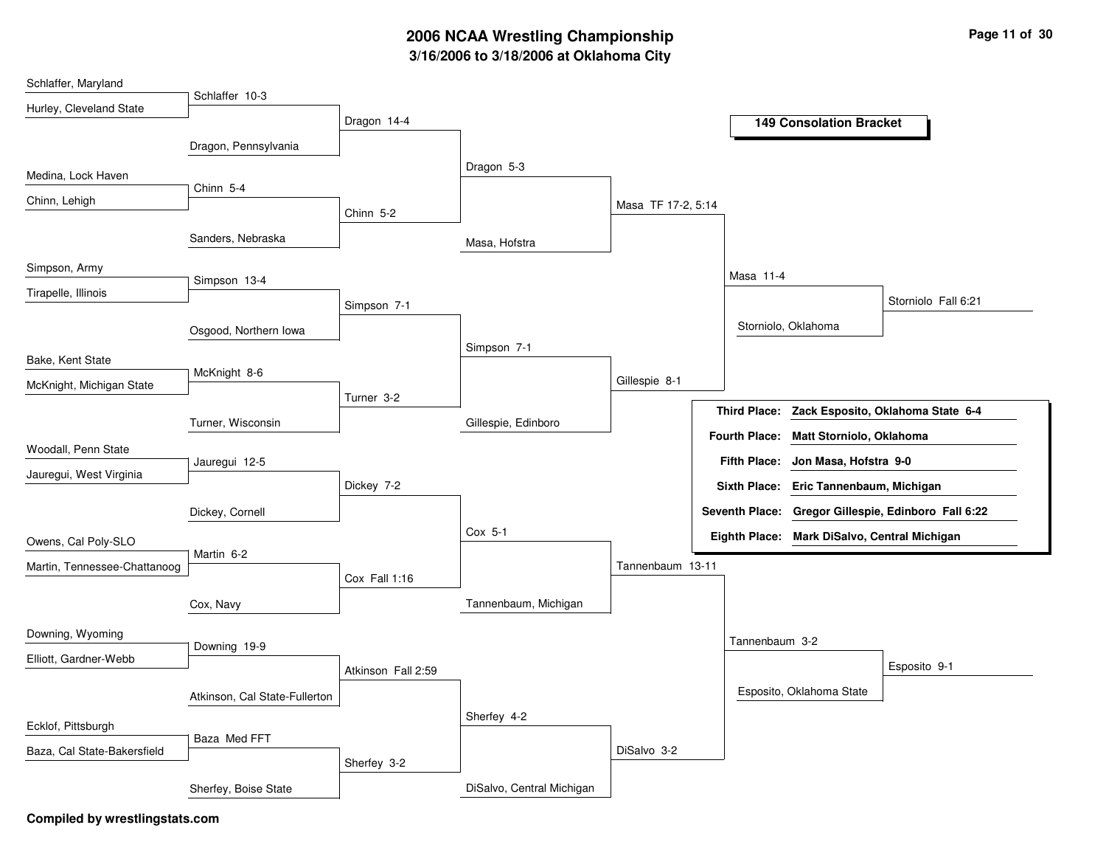## **3/16/2006 to 3/18/2006 at Oklahoma City 2006 NCAA Wrestling Championship Page 11 of 30**

| Schlaffer, Maryland          |                               |                    |                           |                    |                       |                                              |                                                |
|------------------------------|-------------------------------|--------------------|---------------------------|--------------------|-----------------------|----------------------------------------------|------------------------------------------------|
| Hurley, Cleveland State      | Schlaffer 10-3                |                    |                           |                    |                       |                                              |                                                |
|                              |                               | Dragon 14-4        |                           |                    |                       | <b>149 Consolation Bracket</b>               |                                                |
|                              | Dragon, Pennsylvania          |                    |                           |                    |                       |                                              |                                                |
| Medina, Lock Haven           |                               |                    | Dragon 5-3                |                    |                       |                                              |                                                |
| Chinn, Lehigh                | Chinn 5-4                     |                    |                           |                    |                       |                                              |                                                |
|                              |                               | Chinn 5-2          |                           | Masa TF 17-2, 5:14 |                       |                                              |                                                |
|                              | Sanders, Nebraska             |                    | Masa, Hofstra             |                    |                       |                                              |                                                |
| Simpson, Army                |                               |                    |                           |                    | Masa 11-4             |                                              |                                                |
| Tirapelle, Illinois          | Simpson 13-4                  |                    |                           |                    |                       |                                              | Storniolo Fall 6:21                            |
|                              |                               | Simpson 7-1        |                           |                    |                       |                                              |                                                |
|                              | Osgood, Northern Iowa         |                    |                           |                    |                       | Storniolo, Oklahoma                          |                                                |
| Bake, Kent State             |                               |                    | Simpson 7-1               |                    |                       |                                              |                                                |
| McKnight, Michigan State     | McKnight 8-6                  |                    |                           | Gillespie 8-1      |                       |                                              |                                                |
|                              |                               | Turner 3-2         |                           |                    |                       |                                              | Third Place: Zack Esposito, Oklahoma State 6-4 |
|                              | Turner, Wisconsin             |                    | Gillespie, Edinboro       |                    |                       |                                              |                                                |
| Woodall, Penn State          |                               |                    |                           |                    | Fourth Place:         | Matt Storniolo, Oklahoma                     |                                                |
| Jauregui, West Virginia      | Jauregui 12-5                 |                    |                           |                    | <b>Fifth Place:</b>   | Jon Masa, Hofstra 9-0                        |                                                |
|                              |                               | Dickey 7-2         |                           |                    |                       | Sixth Place: Eric Tannenbaum, Michigan       |                                                |
|                              | Dickey, Cornell               |                    |                           |                    | <b>Seventh Place:</b> |                                              | Gregor Gillespie, Edinboro Fall 6:22           |
| Owens, Cal Poly-SLO          |                               |                    | Cox 5-1                   |                    |                       | Eighth Place: Mark DiSalvo, Central Michigan |                                                |
|                              | Martin 6-2                    |                    |                           |                    |                       |                                              |                                                |
| Martin, Tennessee-Chattanoog |                               | Cox Fall 1:16      |                           | Tannenbaum 13-11   |                       |                                              |                                                |
|                              | Cox, Navy                     |                    | Tannenbaum, Michigan      |                    |                       |                                              |                                                |
| Downing, Wyoming             |                               |                    |                           |                    | Tannenbaum 3-2        |                                              |                                                |
| Elliott, Gardner-Webb        | Downing 19-9                  |                    |                           |                    |                       |                                              |                                                |
|                              |                               | Atkinson Fall 2:59 |                           |                    |                       |                                              | Esposito 9-1                                   |
|                              | Atkinson, Cal State-Fullerton |                    |                           |                    |                       | Esposito, Oklahoma State                     |                                                |
| Ecklof, Pittsburgh           |                               |                    | Sherfey 4-2               |                    |                       |                                              |                                                |
| Baza, Cal State-Bakersfield  | Baza Med FFT                  |                    |                           | DiSalvo 3-2        |                       |                                              |                                                |
|                              |                               | Sherfey 3-2        |                           |                    |                       |                                              |                                                |
|                              | Sherfey, Boise State          |                    | DiSalvo, Central Michigan |                    |                       |                                              |                                                |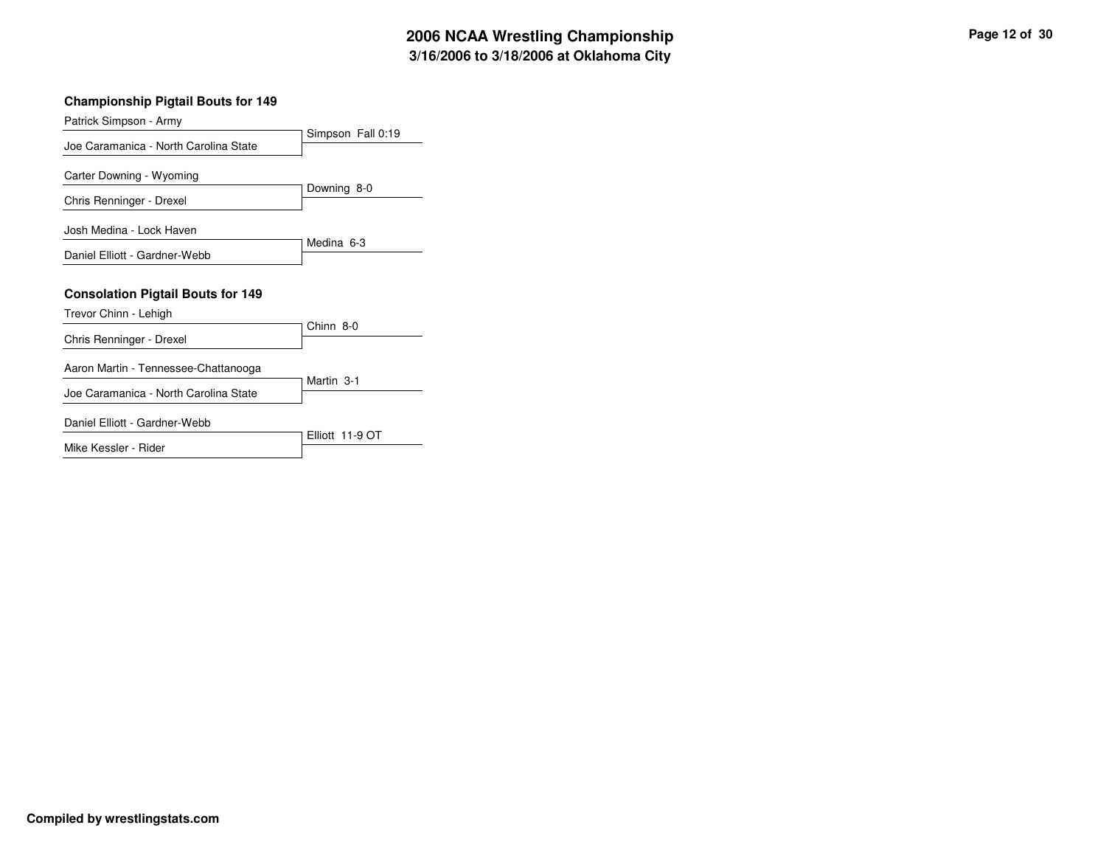#### **Championship Pigtail Bouts for 149**

| Patrick Simpson - Army                   |                   |
|------------------------------------------|-------------------|
| Joe Caramanica - North Carolina State    | Simpson Fall 0:19 |
| Carter Downing - Wyoming                 |                   |
| Chris Renninger - Drexel                 | Downing 8-0       |
| Josh Medina - Lock Haven                 |                   |
| Daniel Elliott - Gardner-Webb            | Medina 6-3        |
| <b>Consolation Pigtail Bouts for 149</b> |                   |
| Trevor Chinn - Lehigh                    |                   |
| Chris Renninger - Drexel                 | Chinn 8-0         |
| Aaron Martin - Tennessee-Chattanooga     |                   |
| Joe Caramanica - North Carolina State    | Martin 3-1        |
| Daniel Elliott - Gardner-Webb            |                   |
|                                          | Elliott 11-9 OT   |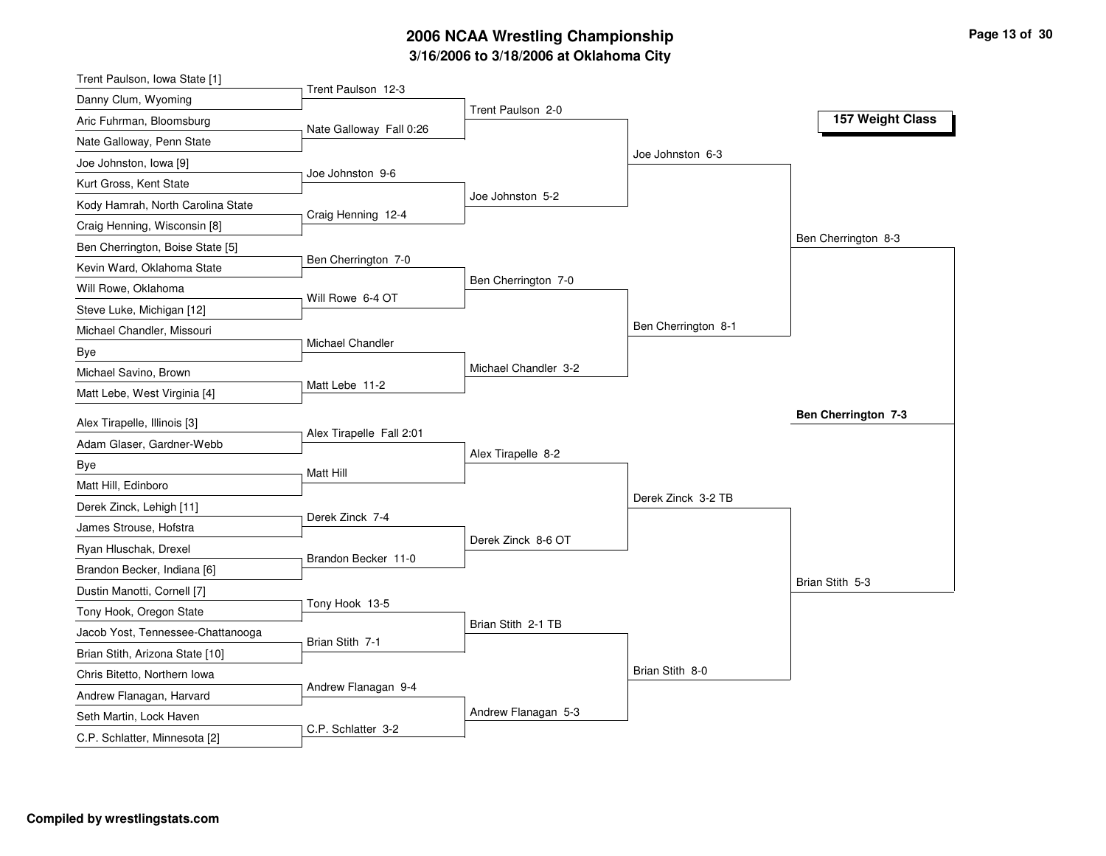# **3/16/2006 to 3/18/2006 at Oklahoma City 2006 NCAA Wrestling Championship Page 13 of 30**

| Trent Paulson, Iowa State [1]     |                          |                      |                     |                            |
|-----------------------------------|--------------------------|----------------------|---------------------|----------------------------|
| Danny Clum, Wyoming               | Trent Paulson 12-3       |                      |                     |                            |
| Aric Fuhrman, Bloomsburg          | Nate Galloway Fall 0:26  | Trent Paulson 2-0    |                     | 157 Weight Class           |
| Nate Galloway, Penn State         |                          |                      |                     |                            |
| Joe Johnston, Iowa [9]            |                          |                      | Joe Johnston 6-3    |                            |
| Kurt Gross, Kent State            | Joe Johnston 9-6         |                      |                     |                            |
| Kody Hamrah, North Carolina State |                          | Joe Johnston 5-2     |                     |                            |
| Craig Henning, Wisconsin [8]      | Craig Henning 12-4       |                      |                     |                            |
| Ben Cherrington, Boise State [5]  |                          |                      |                     | Ben Cherrington 8-3        |
| Kevin Ward, Oklahoma State        | Ben Cherrington 7-0      |                      |                     |                            |
| Will Rowe, Oklahoma               |                          | Ben Cherrington 7-0  |                     |                            |
| Steve Luke, Michigan [12]         | Will Rowe 6-4 OT         |                      |                     |                            |
| Michael Chandler, Missouri        |                          |                      | Ben Cherrington 8-1 |                            |
| Bye                               | Michael Chandler         |                      |                     |                            |
| Michael Savino, Brown             |                          | Michael Chandler 3-2 |                     |                            |
| Matt Lebe, West Virginia [4]      | Matt Lebe 11-2           |                      |                     |                            |
| Alex Tirapelle, Illinois [3]      |                          |                      |                     | <b>Ben Cherrington 7-3</b> |
| Adam Glaser, Gardner-Webb         | Alex Tirapelle Fall 2:01 |                      |                     |                            |
| Bye                               |                          | Alex Tirapelle 8-2   |                     |                            |
| Matt Hill, Edinboro               | Matt Hill                |                      |                     |                            |
| Derek Zinck, Lehigh [11]          |                          |                      | Derek Zinck 3-2 TB  |                            |
| James Strouse, Hofstra            | Derek Zinck 7-4          |                      |                     |                            |
| Ryan Hluschak, Drexel             |                          | Derek Zinck 8-6 OT   |                     |                            |
| Brandon Becker, Indiana [6]       | Brandon Becker 11-0      |                      |                     |                            |
| Dustin Manotti, Cornell [7]       |                          |                      |                     | Brian Stith 5-3            |
| Tony Hook, Oregon State           | Tony Hook 13-5           |                      |                     |                            |
| Jacob Yost, Tennessee-Chattanooga |                          | Brian Stith 2-1 TB   |                     |                            |
| Brian Stith, Arizona State [10]   | Brian Stith 7-1          |                      |                     |                            |
| Chris Bitetto, Northern Iowa      |                          |                      | Brian Stith 8-0     |                            |
| Andrew Flanagan, Harvard          | Andrew Flanagan 9-4      |                      |                     |                            |
|                                   |                          |                      |                     |                            |
| Seth Martin, Lock Haven           |                          | Andrew Flanagan 5-3  |                     |                            |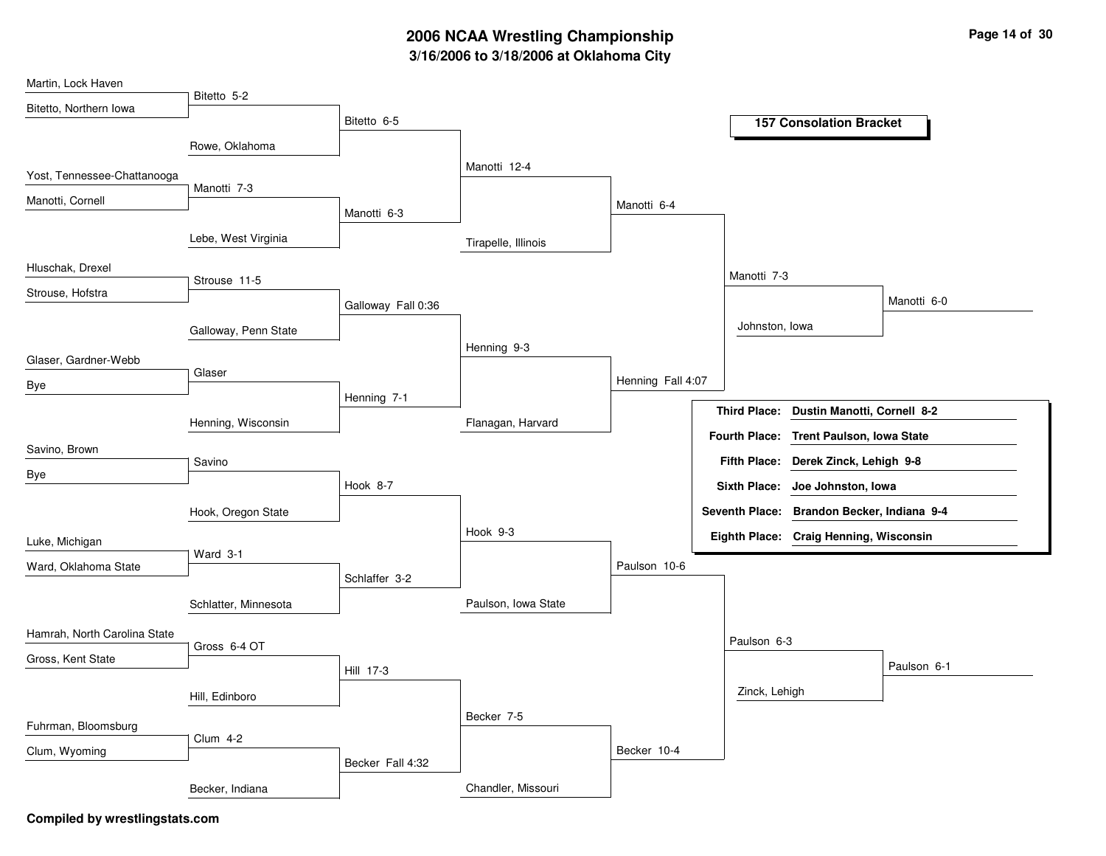# **3/16/2006 to 3/18/2006 at Oklahoma City 2006 NCAA Wrestling Championship Page 14 of 30**

| Martin, Lock Haven           |                      |                    |                     |                   |                     |                                            |             |
|------------------------------|----------------------|--------------------|---------------------|-------------------|---------------------|--------------------------------------------|-------------|
| Bitetto, Northern Iowa       | Bitetto 5-2          |                    |                     |                   |                     |                                            |             |
|                              |                      | Bitetto 6-5        |                     |                   |                     | <b>157 Consolation Bracket</b>             |             |
|                              | Rowe, Oklahoma       |                    |                     |                   |                     |                                            |             |
| Yost, Tennessee-Chattanooga  |                      |                    | Manotti 12-4        |                   |                     |                                            |             |
| Manotti, Cornell             | Manotti 7-3          |                    |                     |                   |                     |                                            |             |
|                              |                      | Manotti 6-3        |                     | Manotti 6-4       |                     |                                            |             |
|                              | Lebe, West Virginia  |                    | Tirapelle, Illinois |                   |                     |                                            |             |
| Hluschak, Drexel             | Strouse 11-5         |                    |                     |                   | Manotti 7-3         |                                            |             |
| Strouse, Hofstra             |                      | Galloway Fall 0:36 |                     |                   |                     |                                            | Manotti 6-0 |
|                              | Galloway, Penn State |                    |                     |                   | Johnston, Iowa      |                                            |             |
|                              |                      |                    | Henning 9-3         |                   |                     |                                            |             |
| Glaser, Gardner-Webb         | Glaser               |                    |                     |                   |                     |                                            |             |
| Bye                          |                      | Henning 7-1        |                     | Henning Fall 4:07 |                     |                                            |             |
|                              |                      |                    |                     |                   | <b>Third Place:</b> | Dustin Manotti, Cornell 8-2                |             |
|                              | Henning, Wisconsin   |                    | Flanagan, Harvard   |                   |                     | Fourth Place: Trent Paulson, Iowa State    |             |
| Savino, Brown                | Savino               |                    |                     |                   | <b>Fifth Place:</b> | Derek Zinck, Lehigh 9-8                    |             |
| Bye                          |                      | Hook 8-7           |                     |                   |                     | Sixth Place: Joe Johnston, Iowa            |             |
|                              | Hook, Oregon State   |                    |                     |                   |                     | Seventh Place: Brandon Becker, Indiana 9-4 |             |
| Luke, Michigan               |                      |                    | Hook 9-3            |                   |                     | Eighth Place: Craig Henning, Wisconsin     |             |
|                              | Ward 3-1             |                    |                     |                   |                     |                                            |             |
| Ward, Oklahoma State         |                      | Schlaffer 3-2      |                     | Paulson 10-6      |                     |                                            |             |
|                              | Schlatter, Minnesota |                    | Paulson, Iowa State |                   |                     |                                            |             |
| Hamrah, North Carolina State | Gross 6-4 OT         |                    |                     |                   | Paulson 6-3         |                                            |             |
| Gross, Kent State            |                      | Hill 17-3          |                     |                   |                     |                                            | Paulson 6-1 |
|                              | Hill, Edinboro       |                    |                     |                   | Zinck, Lehigh       |                                            |             |
|                              |                      |                    | Becker 7-5          |                   |                     |                                            |             |
| Fuhrman, Bloomsburg          | <b>Clum 4-2</b>      |                    |                     |                   |                     |                                            |             |
| Clum, Wyoming                |                      | Becker Fall 4:32   |                     | Becker 10-4       |                     |                                            |             |
|                              |                      |                    |                     |                   |                     |                                            |             |
|                              | Becker, Indiana      |                    | Chandler, Missouri  |                   |                     |                                            |             |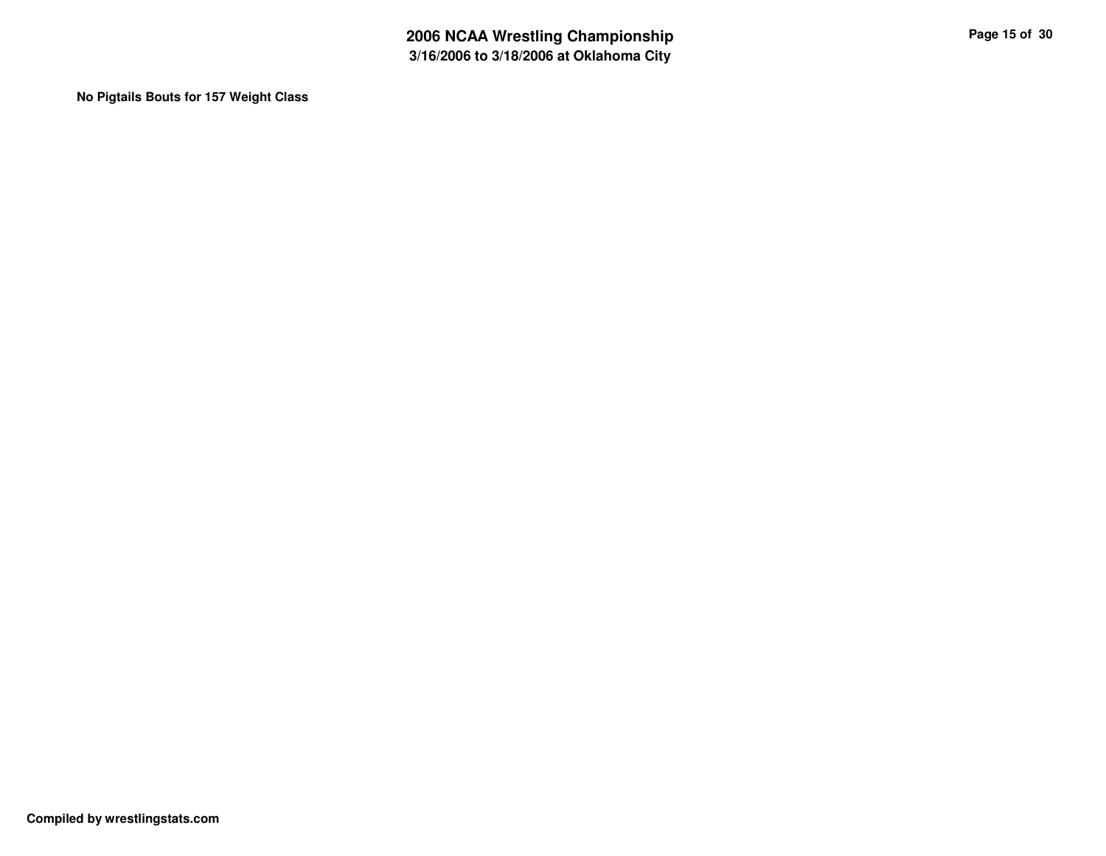**No Pigtails Bouts for 157 Weight Class**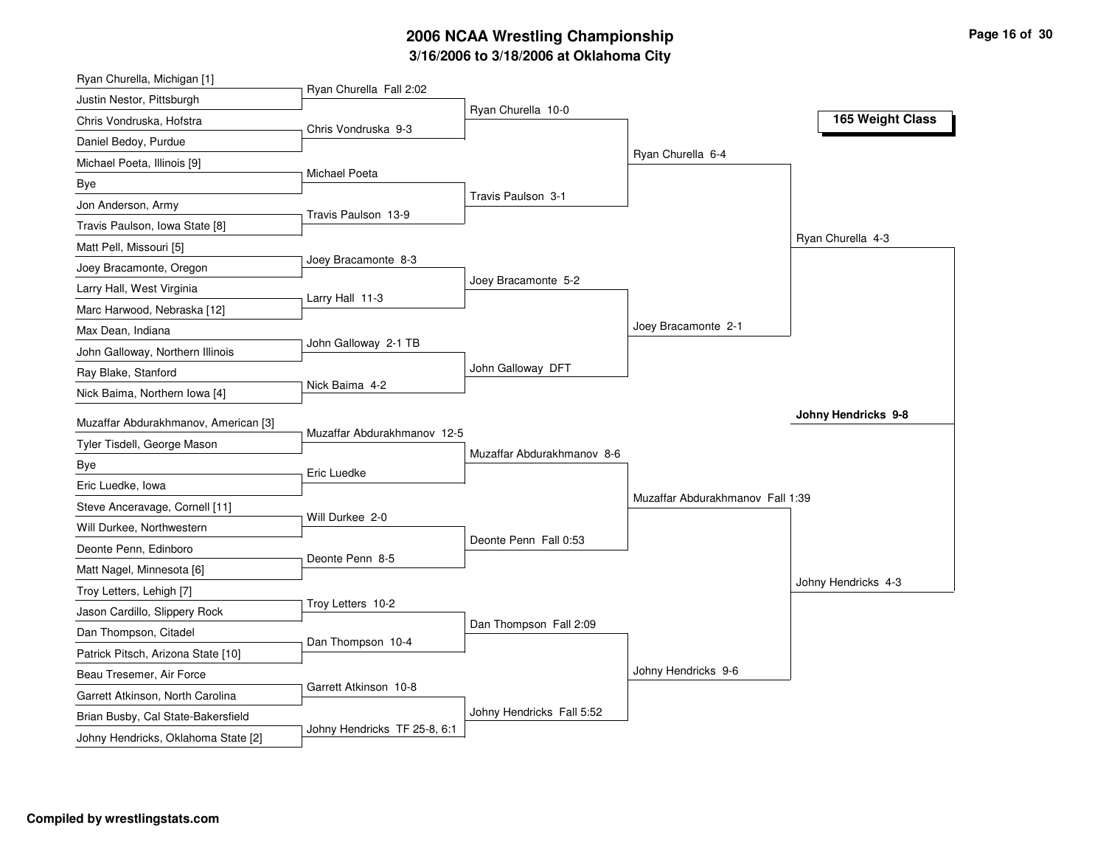## **3/16/2006 to 3/18/2006 at Oklahoma City 2006 NCAA Wrestling Championship Page 16 of 30**

| Ryan Churella, Michigan [1]                                            |                             |                            |                                  |                     |
|------------------------------------------------------------------------|-----------------------------|----------------------------|----------------------------------|---------------------|
| Justin Nestor, Pittsburgh                                              | Ryan Churella Fall 2:02     |                            |                                  |                     |
| Chris Vondruska, Hofstra                                               | Chris Vondruska 9-3         | Ryan Churella 10-0         |                                  | 165 Weight Class    |
| Daniel Bedoy, Purdue                                                   |                             |                            |                                  |                     |
| Michael Poeta, Illinois [9]                                            |                             |                            | Ryan Churella 6-4                |                     |
| <b>Bye</b>                                                             | <b>Michael Poeta</b>        |                            |                                  |                     |
| Jon Anderson, Army                                                     |                             | Travis Paulson 3-1         |                                  |                     |
| Travis Paulson, Iowa State [8]                                         | Travis Paulson 13-9         |                            |                                  |                     |
| Matt Pell, Missouri [5]                                                |                             |                            |                                  | Ryan Churella 4-3   |
| Joey Bracamonte, Oregon                                                | Joey Bracamonte 8-3         |                            |                                  |                     |
| Larry Hall, West Virginia                                              |                             | Joey Bracamonte 5-2        |                                  |                     |
| Marc Harwood, Nebraska [12]                                            | Larry Hall 11-3             |                            |                                  |                     |
| Max Dean, Indiana                                                      |                             |                            | Joey Bracamonte 2-1              |                     |
| John Galloway, Northern Illinois                                       | John Galloway 2-1 TB        |                            |                                  |                     |
| Ray Blake, Stanford                                                    |                             | John Galloway DFT          |                                  |                     |
| Nick Baima, Northern Iowa [4]                                          | Nick Baima 4-2              |                            |                                  |                     |
| Muzaffar Abdurakhmanov, American [3]                                   |                             |                            |                                  | Johny Hendricks 9-8 |
| Tyler Tisdell, George Mason                                            | Muzaffar Abdurakhmanov 12-5 |                            |                                  |                     |
| Bye                                                                    |                             | Muzaffar Abdurakhmanov 8-6 |                                  |                     |
| Eric Luedke, Iowa                                                      | Eric Luedke                 |                            |                                  |                     |
| Steve Anceravage, Cornell [11]                                         |                             |                            | Muzaffar Abdurakhmanov Fall 1:39 |                     |
| Will Durkee, Northwestern                                              | Will Durkee 2-0             |                            |                                  |                     |
| Deonte Penn, Edinboro                                                  |                             | Deonte Penn Fall 0:53      |                                  |                     |
| Matt Nagel, Minnesota [6]                                              | Deonte Penn 8-5             |                            |                                  |                     |
| Troy Letters, Lehigh [7]                                               |                             |                            |                                  | Johny Hendricks 4-3 |
| Jason Cardillo, Slippery Rock                                          | Troy Letters 10-2           |                            |                                  |                     |
| Dan Thompson, Citadel                                                  |                             | Dan Thompson Fall 2:09     |                                  |                     |
|                                                                        |                             |                            |                                  |                     |
|                                                                        | Dan Thompson 10-4           |                            |                                  |                     |
| Patrick Pitsch, Arizona State [10]                                     |                             |                            |                                  |                     |
| Beau Tresemer, Air Force                                               | Garrett Atkinson 10-8       |                            | Johny Hendricks 9-6              |                     |
| Garrett Atkinson, North Carolina<br>Brian Busby, Cal State-Bakersfield |                             | Johny Hendricks Fall 5:52  |                                  |                     |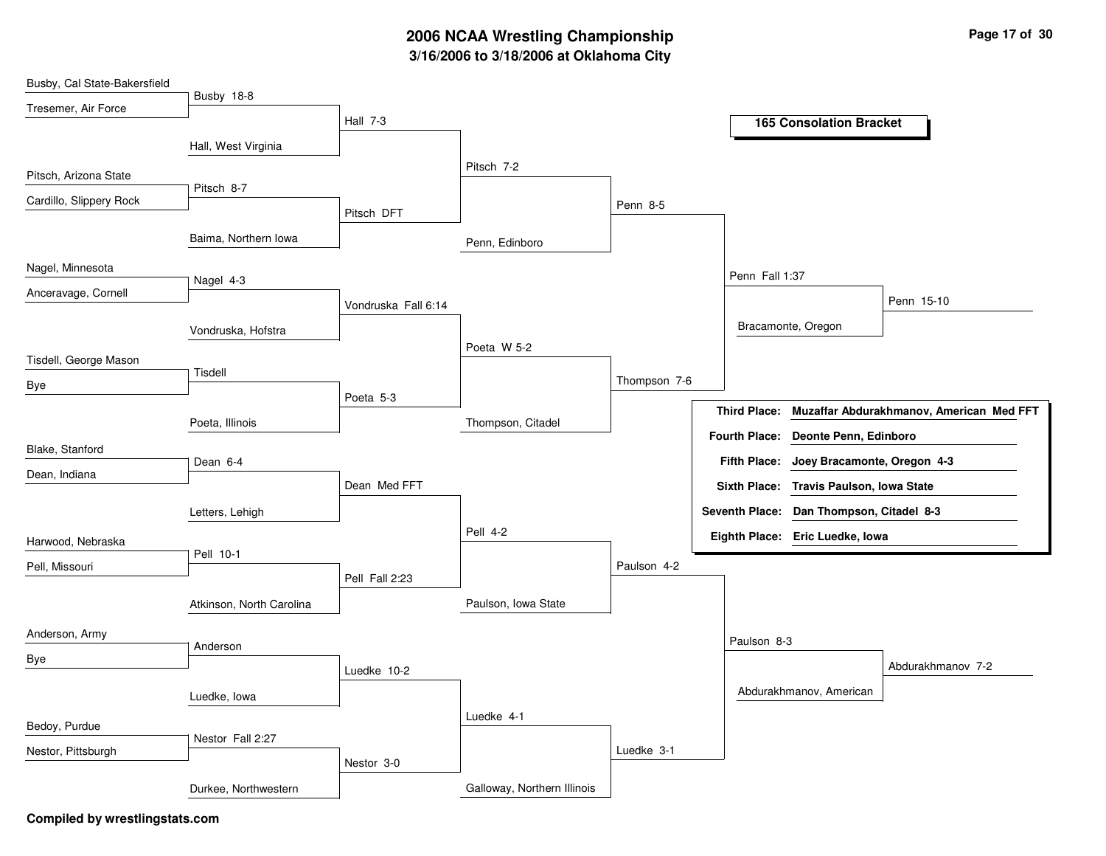# **3/16/2006 to 3/18/2006 at Oklahoma City 2006 NCAA Wrestling Championship Page 17 of 30**

| Busby, Cal State-Bakersfield |                          |                     |                             |              |                       |                                         |                                          |
|------------------------------|--------------------------|---------------------|-----------------------------|--------------|-----------------------|-----------------------------------------|------------------------------------------|
| Tresemer, Air Force          | Busby 18-8               |                     |                             |              |                       |                                         |                                          |
|                              |                          | Hall 7-3            |                             |              |                       | <b>165 Consolation Bracket</b>          |                                          |
|                              | Hall, West Virginia      |                     |                             |              |                       |                                         |                                          |
| Pitsch, Arizona State        |                          |                     | Pitsch 7-2                  |              |                       |                                         |                                          |
| Cardillo, Slippery Rock      | Pitsch 8-7               |                     |                             | Penn 8-5     |                       |                                         |                                          |
|                              |                          | Pitsch DFT          |                             |              |                       |                                         |                                          |
|                              | Baima, Northern Iowa     |                     | Penn, Edinboro              |              |                       |                                         |                                          |
| Nagel, Minnesota             |                          |                     |                             |              | Penn Fall 1:37        |                                         |                                          |
| Anceravage, Cornell          | Nagel 4-3                |                     |                             |              |                       |                                         | Penn 15-10                               |
|                              |                          | Vondruska Fall 6:14 |                             |              |                       |                                         |                                          |
|                              | Vondruska, Hofstra       |                     |                             |              |                       | Bracamonte, Oregon                      |                                          |
| Tisdell, George Mason        |                          |                     | Poeta W 5-2                 |              |                       |                                         |                                          |
| Bye                          | Tisdell                  |                     |                             | Thompson 7-6 |                       |                                         |                                          |
|                              |                          | Poeta 5-3           |                             |              | <b>Third Place:</b>   |                                         | Muzaffar Abdurakhmanov, American Med FFT |
|                              | Poeta, Illinois          |                     | Thompson, Citadel           |              |                       | Fourth Place: Deonte Penn, Edinboro     |                                          |
| Blake, Stanford              |                          |                     |                             |              |                       |                                         |                                          |
| Dean, Indiana                | Dean 6-4                 |                     |                             |              | <b>Fifth Place:</b>   | Joey Bracamonte, Oregon 4-3             |                                          |
|                              |                          | Dean Med FFT        |                             |              |                       | Sixth Place: Travis Paulson, Iowa State |                                          |
|                              | Letters, Lehigh          |                     |                             |              | <b>Seventh Place:</b> | Dan Thompson, Citadel 8-3               |                                          |
| Harwood, Nebraska            |                          |                     | Pell 4-2                    |              |                       | Eighth Place: Eric Luedke, Iowa         |                                          |
| Pell, Missouri               | Pell 10-1                |                     |                             | Paulson 4-2  |                       |                                         |                                          |
|                              |                          | Pell Fall 2:23      |                             |              |                       |                                         |                                          |
|                              | Atkinson, North Carolina |                     | Paulson, Iowa State         |              |                       |                                         |                                          |
| Anderson, Army               |                          |                     |                             |              |                       |                                         |                                          |
| Bye                          | Anderson                 |                     |                             |              | Paulson 8-3           |                                         |                                          |
|                              |                          | Luedke 10-2         |                             |              |                       |                                         | Abdurakhmanov 7-2                        |
|                              | Luedke, Iowa             |                     |                             |              |                       | Abdurakhmanov, American                 |                                          |
| Bedoy, Purdue                |                          |                     | Luedke 4-1                  |              |                       |                                         |                                          |
|                              | Nestor Fall 2:27         |                     |                             |              |                       |                                         |                                          |
| Nestor, Pittsburgh           |                          | Nestor 3-0          |                             | Luedke 3-1   |                       |                                         |                                          |
|                              | Durkee, Northwestern     |                     | Galloway, Northern Illinois |              |                       |                                         |                                          |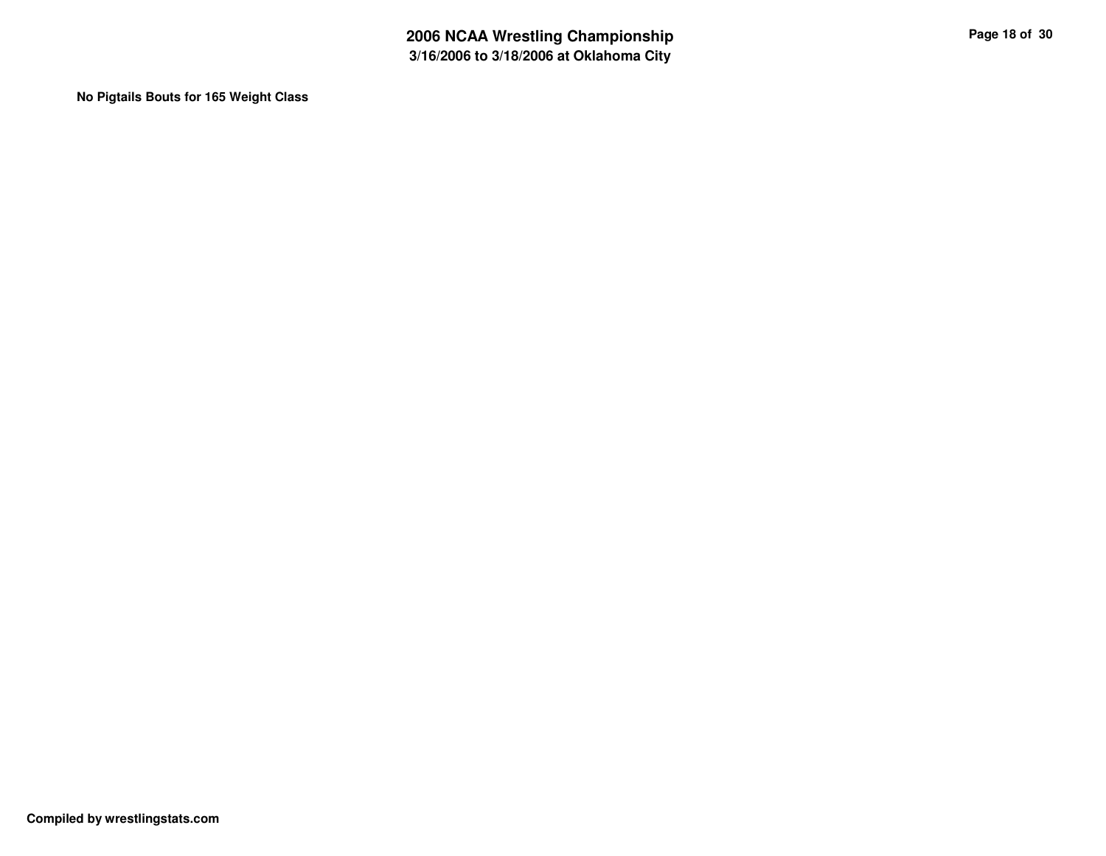**No Pigtails Bouts for 165 Weight Class**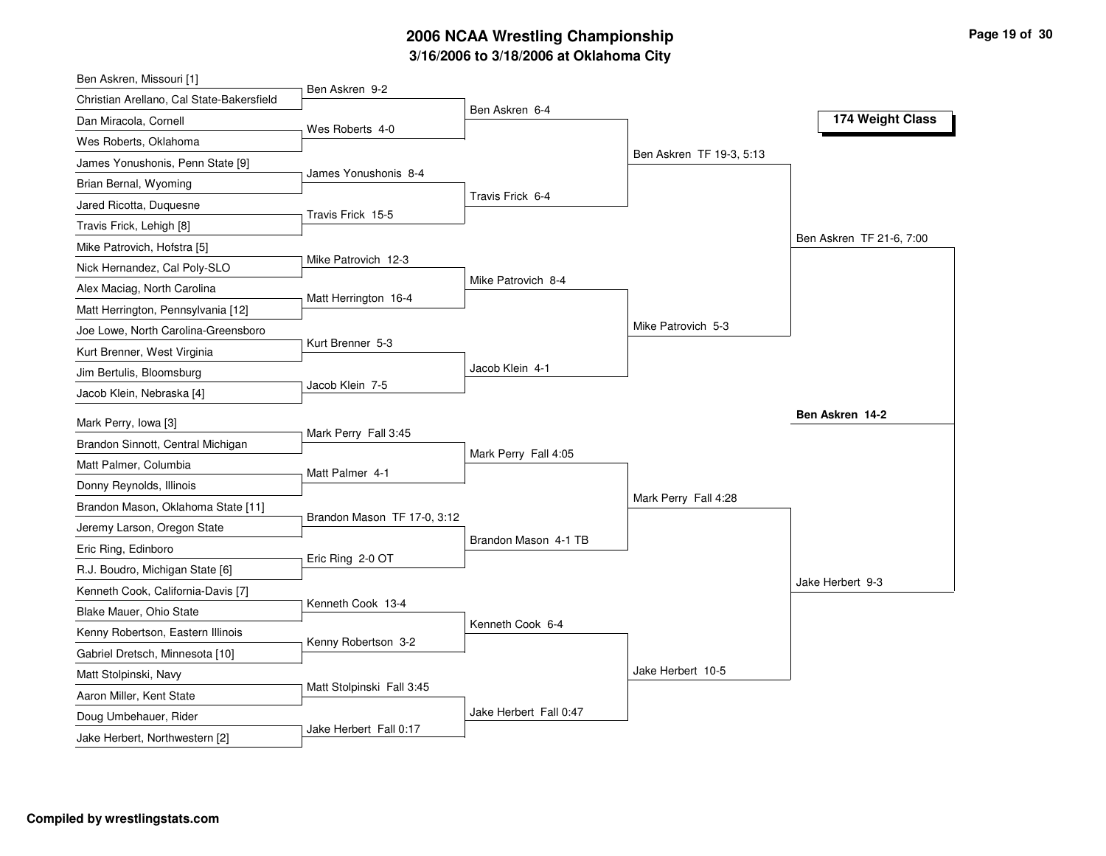# **3/16/2006 to 3/18/2006 at Oklahoma City 2006 NCAA Wrestling Championship Page 19 of 30**

| Ben Askren, Missouri [1]                  |                             |                        |                          |                          |
|-------------------------------------------|-----------------------------|------------------------|--------------------------|--------------------------|
| Christian Arellano, Cal State-Bakersfield | Ben Askren 9-2              |                        |                          |                          |
| Dan Miracola, Cornell                     | Wes Roberts 4-0             | Ben Askren 6-4         |                          | 174 Weight Class         |
| Wes Roberts, Oklahoma                     |                             |                        |                          |                          |
| James Yonushonis, Penn State [9]          |                             |                        | Ben Askren TF 19-3, 5:13 |                          |
| Brian Bernal, Wyoming                     | James Yonushonis 8-4        |                        |                          |                          |
| Jared Ricotta, Duquesne                   |                             | Travis Frick 6-4       |                          |                          |
| Travis Frick, Lehigh [8]                  | Travis Frick 15-5           |                        |                          |                          |
| Mike Patrovich, Hofstra [5]               |                             |                        |                          | Ben Askren TF 21-6, 7:00 |
| Nick Hernandez, Cal Poly-SLO              | Mike Patrovich 12-3         |                        |                          |                          |
| Alex Maciag, North Carolina               |                             | Mike Patrovich 8-4     |                          |                          |
| Matt Herrington, Pennsylvania [12]        | Matt Herrington 16-4        |                        |                          |                          |
| Joe Lowe, North Carolina-Greensboro       |                             |                        | Mike Patrovich 5-3       |                          |
| Kurt Brenner, West Virginia               | Kurt Brenner 5-3            |                        |                          |                          |
| Jim Bertulis, Bloomsburg                  |                             | Jacob Klein 4-1        |                          |                          |
| Jacob Klein, Nebraska [4]                 | Jacob Klein 7-5             |                        |                          |                          |
| Mark Perry, Iowa [3]                      |                             |                        |                          | Ben Askren 14-2          |
| Brandon Sinnott, Central Michigan         | Mark Perry Fall 3:45        |                        |                          |                          |
| Matt Palmer, Columbia                     |                             | Mark Perry Fall 4:05   |                          |                          |
| Donny Reynolds, Illinois                  | Matt Palmer 4-1             |                        |                          |                          |
| Brandon Mason, Oklahoma State [11]        |                             |                        | Mark Perry Fall 4:28     |                          |
| Jeremy Larson, Oregon State               | Brandon Mason TF 17-0, 3:12 |                        |                          |                          |
| Eric Ring, Edinboro                       |                             | Brandon Mason 4-1 TB   |                          |                          |
| R.J. Boudro, Michigan State [6]           | Eric Ring 2-0 OT            |                        |                          |                          |
| Kenneth Cook, California-Davis [7]        |                             |                        |                          | Jake Herbert 9-3         |
| Blake Mauer, Ohio State                   | Kenneth Cook 13-4           |                        |                          |                          |
| Kenny Robertson, Eastern Illinois         |                             | Kenneth Cook 6-4       |                          |                          |
| Gabriel Dretsch, Minnesota [10]           | Kenny Robertson 3-2         |                        |                          |                          |
| Matt Stolpinski, Navy                     |                             |                        | Jake Herbert 10-5        |                          |
| Aaron Miller, Kent State                  | Matt Stolpinski Fall 3:45   |                        |                          |                          |
| Doug Umbehauer, Rider                     |                             | Jake Herbert Fall 0:47 |                          |                          |
| Jake Herbert, Northwestern [2]            | Jake Herbert Fall 0:17      |                        |                          |                          |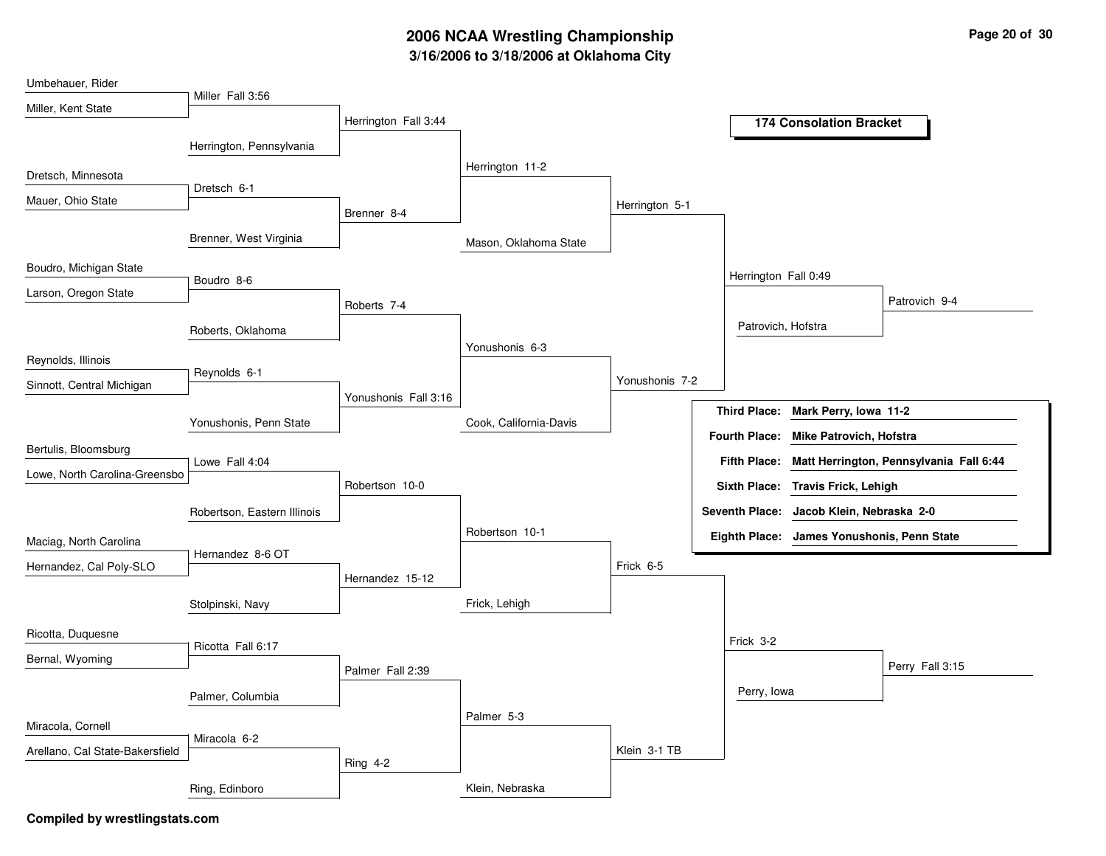# **3/16/2006 to 3/18/2006 at Oklahoma City 2006 NCAA Wrestling Championship Page 20 of 30**

| Umbehauer, Rider                |                             |                      |                        |                |                      |                                            |                                         |
|---------------------------------|-----------------------------|----------------------|------------------------|----------------|----------------------|--------------------------------------------|-----------------------------------------|
| Miller, Kent State              | Miller Fall 3:56            | Herrington Fall 3:44 |                        |                |                      |                                            |                                         |
|                                 |                             |                      |                        |                |                      | <b>174 Consolation Bracket</b>             |                                         |
|                                 | Herrington, Pennsylvania    |                      |                        |                |                      |                                            |                                         |
| Dretsch, Minnesota              |                             |                      | Herrington 11-2        |                |                      |                                            |                                         |
| Mauer, Ohio State               | Dretsch 6-1                 |                      |                        | Herrington 5-1 |                      |                                            |                                         |
|                                 |                             | Brenner 8-4          |                        |                |                      |                                            |                                         |
|                                 | Brenner, West Virginia      |                      | Mason, Oklahoma State  |                |                      |                                            |                                         |
| Boudro, Michigan State          | Boudro 8-6                  |                      |                        |                | Herrington Fall 0:49 |                                            |                                         |
| Larson, Oregon State            |                             | Roberts 7-4          |                        |                |                      |                                            | Patrovich 9-4                           |
|                                 |                             |                      |                        |                | Patrovich, Hofstra   |                                            |                                         |
|                                 | Roberts, Oklahoma           |                      | Yonushonis 6-3         |                |                      |                                            |                                         |
| Reynolds, Illinois              |                             |                      |                        |                |                      |                                            |                                         |
| Sinnott, Central Michigan       | Reynolds 6-1                |                      |                        | Yonushonis 7-2 |                      |                                            |                                         |
|                                 |                             | Yonushonis Fall 3:16 |                        |                | <b>Third Place:</b>  | Mark Perry, Iowa 11-2                      |                                         |
|                                 | Yonushonis, Penn State      |                      | Cook, California-Davis |                | <b>Fourth Place:</b> | Mike Patrovich, Hofstra                    |                                         |
| Bertulis, Bloomsburg            | Lowe Fall 4:04              |                      |                        |                | <b>Fifth Place:</b>  |                                            | Matt Herrington, Pennsylvania Fall 6:44 |
| Lowe, North Carolina-Greensbo   |                             | Robertson 10-0       |                        |                |                      | Sixth Place: Travis Frick, Lehigh          |                                         |
|                                 |                             |                      |                        |                |                      |                                            |                                         |
|                                 | Robertson, Eastern Illinois |                      |                        |                |                      | Seventh Place: Jacob Klein, Nebraska 2-0   |                                         |
| Maciag, North Carolina          |                             |                      | Robertson 10-1         |                |                      | Eighth Place: James Yonushonis, Penn State |                                         |
| Hernandez, Cal Poly-SLO         | Hernandez 8-6 OT            |                      |                        | Frick 6-5      |                      |                                            |                                         |
|                                 |                             | Hernandez 15-12      |                        |                |                      |                                            |                                         |
|                                 | Stolpinski, Navy            |                      | Frick, Lehigh          |                |                      |                                            |                                         |
| Ricotta, Duquesne               |                             |                      |                        |                | Frick 3-2            |                                            |                                         |
| Bernal, Wyoming                 | Ricotta Fall 6:17           |                      |                        |                |                      |                                            |                                         |
|                                 |                             | Palmer Fall 2:39     |                        |                |                      |                                            | Perry Fall 3:15                         |
|                                 | Palmer, Columbia            |                      |                        |                | Perry, Iowa          |                                            |                                         |
| Miracola, Cornell               |                             |                      | Palmer 5-3             |                |                      |                                            |                                         |
|                                 | Miracola 6-2                |                      |                        | Klein 3-1 TB   |                      |                                            |                                         |
| Arellano, Cal State-Bakersfield |                             | Ring $4-2$           |                        |                |                      |                                            |                                         |
|                                 | Ring, Edinboro              |                      | Klein, Nebraska        |                |                      |                                            |                                         |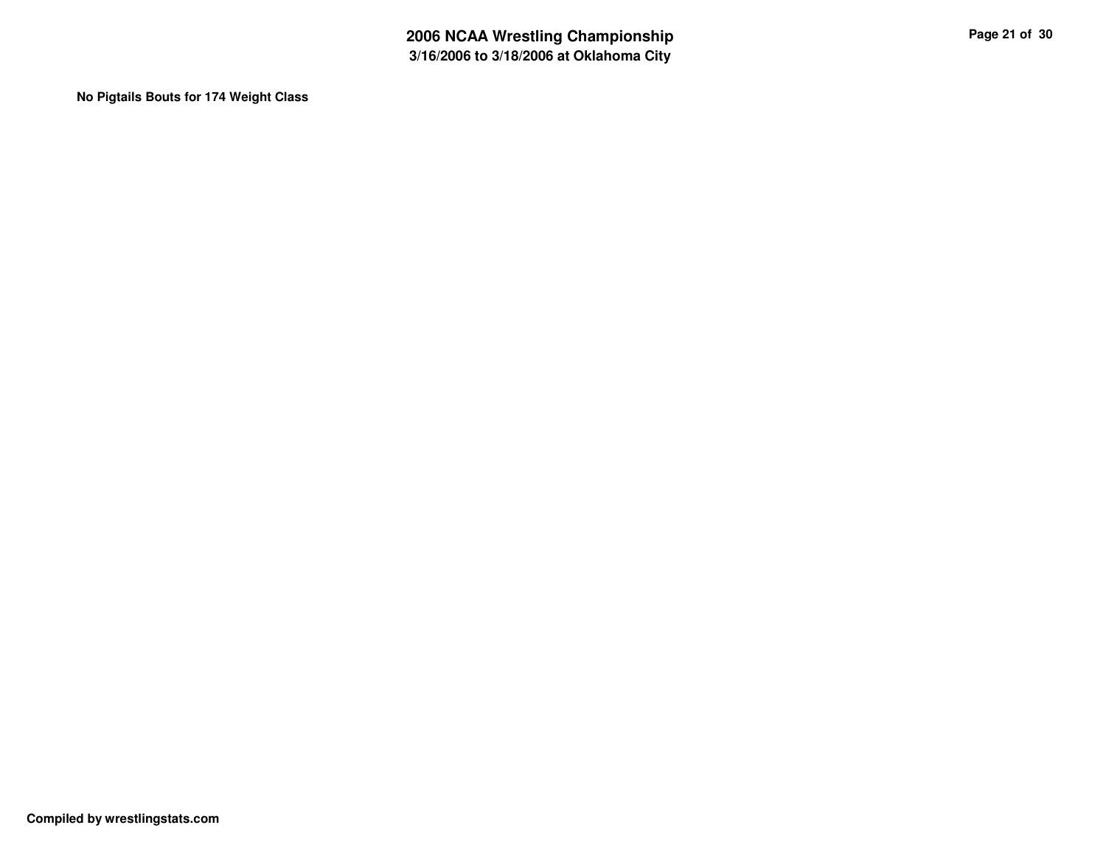**No Pigtails Bouts for 174 Weight Class**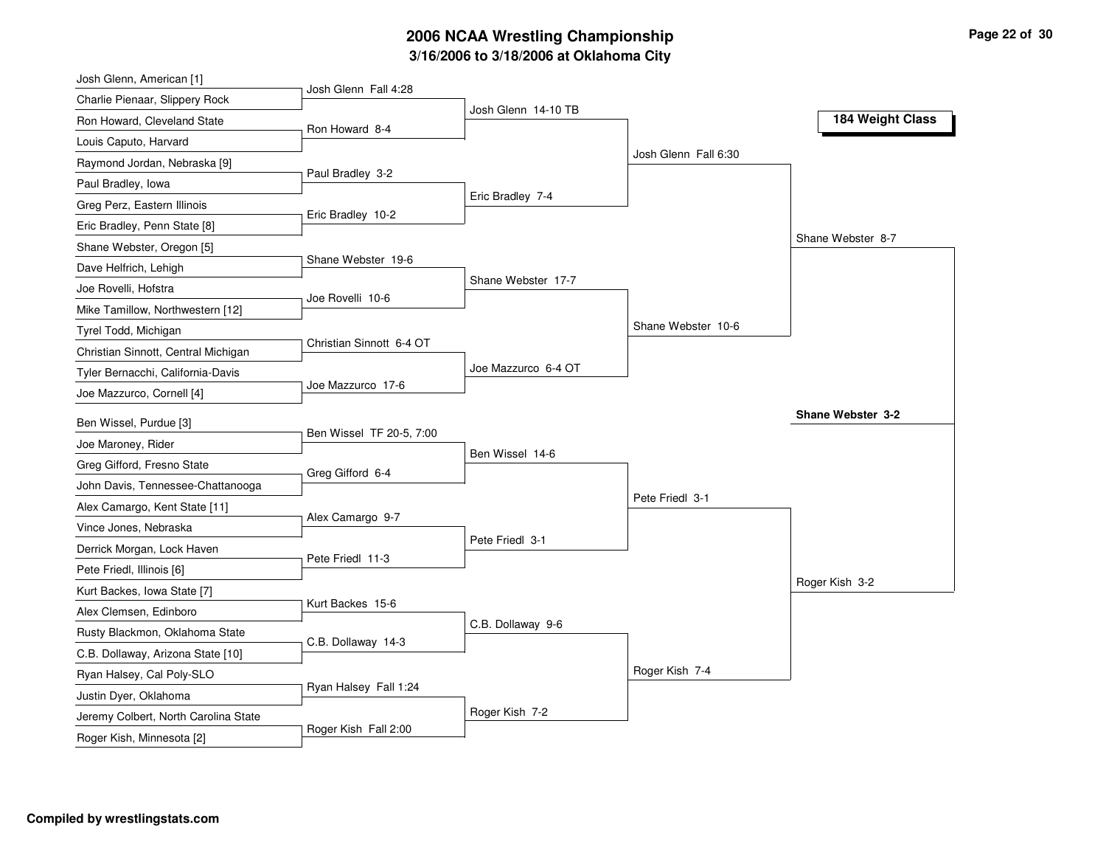# **3/16/2006 to 3/18/2006 at Oklahoma City 2006 NCAA Wrestling Championship Page 22 of 30**

| Josh Glenn, American [1]                                          |                          |                     |                      |                   |
|-------------------------------------------------------------------|--------------------------|---------------------|----------------------|-------------------|
| Charlie Pienaar, Slippery Rock                                    | Josh Glenn Fall 4:28     |                     |                      |                   |
| Ron Howard, Cleveland State                                       | Ron Howard 8-4           | Josh Glenn 14-10 TB |                      | 184 Weight Class  |
| Louis Caputo, Harvard                                             |                          |                     |                      |                   |
| Raymond Jordan, Nebraska [9]                                      |                          |                     | Josh Glenn Fall 6:30 |                   |
| Paul Bradley, Iowa                                                | Paul Bradley 3-2         |                     |                      |                   |
| Greg Perz, Eastern Illinois                                       |                          | Eric Bradley 7-4    |                      |                   |
| Eric Bradley, Penn State [8]                                      | Eric Bradley 10-2        |                     |                      |                   |
| Shane Webster, Oregon [5]                                         |                          |                     |                      | Shane Webster 8-7 |
| Dave Helfrich, Lehigh                                             | Shane Webster 19-6       |                     |                      |                   |
| Joe Rovelli, Hofstra                                              |                          | Shane Webster 17-7  |                      |                   |
| Mike Tamillow, Northwestern [12]                                  | Joe Rovelli 10-6         |                     |                      |                   |
| Tyrel Todd, Michigan                                              |                          |                     | Shane Webster 10-6   |                   |
| Christian Sinnott, Central Michigan                               | Christian Sinnott 6-4 OT |                     |                      |                   |
| Tyler Bernacchi, California-Davis                                 |                          | Joe Mazzurco 6-4 OT |                      |                   |
| Joe Mazzurco, Cornell [4]                                         | Joe Mazzurco 17-6        |                     |                      |                   |
|                                                                   |                          |                     |                      |                   |
|                                                                   |                          |                     |                      | Shane Webster 3-2 |
| Ben Wissel, Purdue [3]                                            | Ben Wissel TF 20-5, 7:00 |                     |                      |                   |
| Joe Maroney, Rider                                                |                          | Ben Wissel 14-6     |                      |                   |
| Greg Gifford, Fresno State                                        | Greg Gifford 6-4         |                     |                      |                   |
| John Davis, Tennessee-Chattanooga                                 |                          |                     | Pete Friedl 3-1      |                   |
| Alex Camargo, Kent State [11]                                     | Alex Camargo 9-7         |                     |                      |                   |
| Vince Jones, Nebraska                                             |                          | Pete Friedl 3-1     |                      |                   |
| Derrick Morgan, Lock Haven                                        | Pete Friedl 11-3         |                     |                      |                   |
| Pete Friedl, Illinois [6]                                         |                          |                     |                      | Roger Kish 3-2    |
| Kurt Backes, Iowa State [7]                                       | Kurt Backes 15-6         |                     |                      |                   |
| Alex Clemsen, Edinboro                                            |                          | C.B. Dollaway 9-6   |                      |                   |
| Rusty Blackmon, Oklahoma State                                    | C.B. Dollaway 14-3       |                     |                      |                   |
| C.B. Dollaway, Arizona State [10]                                 |                          |                     |                      |                   |
| Ryan Halsey, Cal Poly-SLO                                         | Ryan Halsey Fall 1:24    |                     | Roger Kish 7-4       |                   |
| Justin Dyer, Oklahoma                                             |                          |                     |                      |                   |
| Jeremy Colbert, North Carolina State<br>Roger Kish, Minnesota [2] | Roger Kish Fall 2:00     | Roger Kish 7-2      |                      |                   |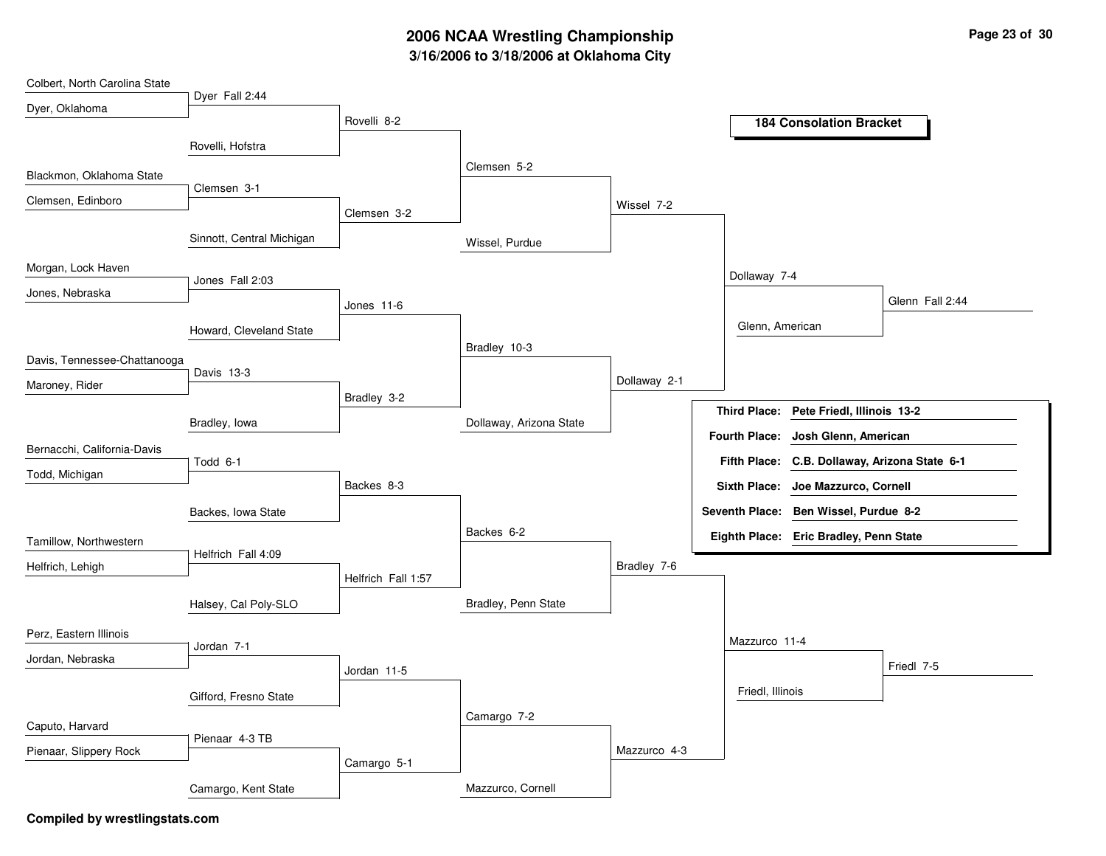# **3/16/2006 to 3/18/2006 at Oklahoma City 2006 NCAA Wrestling Championship Page 23 of 30**

| Colbert, North Carolina State |                           |                    |                         |              |                  |                                               |                 |
|-------------------------------|---------------------------|--------------------|-------------------------|--------------|------------------|-----------------------------------------------|-----------------|
| Dyer, Oklahoma                | Dyer Fall 2:44            | Rovelli 8-2        |                         |              |                  |                                               |                 |
|                               |                           |                    |                         |              |                  | <b>184 Consolation Bracket</b>                |                 |
|                               | Rovelli, Hofstra          |                    |                         |              |                  |                                               |                 |
| Blackmon, Oklahoma State      |                           |                    | Clemsen 5-2             |              |                  |                                               |                 |
| Clemsen, Edinboro             | Clemsen 3-1               |                    |                         | Wissel 7-2   |                  |                                               |                 |
|                               |                           | Clemsen 3-2        |                         |              |                  |                                               |                 |
|                               | Sinnott, Central Michigan |                    | Wissel, Purdue          |              |                  |                                               |                 |
| Morgan, Lock Haven            |                           |                    |                         |              | Dollaway 7-4     |                                               |                 |
| Jones, Nebraska               | Jones Fall 2:03           |                    |                         |              |                  |                                               | Glenn Fall 2:44 |
|                               |                           | Jones 11-6         |                         |              |                  |                                               |                 |
|                               | Howard, Cleveland State   |                    |                         |              | Glenn, American  |                                               |                 |
| Davis, Tennessee-Chattanooga  |                           |                    | Bradley 10-3            |              |                  |                                               |                 |
| Maroney, Rider                | Davis 13-3                |                    |                         | Dollaway 2-1 |                  |                                               |                 |
|                               |                           | Bradley 3-2        |                         |              |                  |                                               |                 |
|                               | Bradley, lowa             |                    | Dollaway, Arizona State |              |                  | Third Place: Pete Friedl, Illinois 13-2       |                 |
| Bernacchi, California-Davis   |                           |                    |                         |              |                  | Fourth Place: Josh Glenn, American            |                 |
| Todd, Michigan                | Todd 6-1                  |                    |                         |              |                  | Fifth Place: C.B. Dollaway, Arizona State 6-1 |                 |
|                               |                           | Backes 8-3         |                         |              |                  | Sixth Place: Joe Mazzurco, Cornell            |                 |
|                               | Backes, Iowa State        |                    |                         |              |                  | Seventh Place: Ben Wissel, Purdue 8-2         |                 |
| Tamillow, Northwestern        |                           |                    | Backes 6-2              |              |                  | Eighth Place: Eric Bradley, Penn State        |                 |
|                               | Helfrich Fall 4:09        |                    |                         | Bradley 7-6  |                  |                                               |                 |
| Helfrich, Lehigh              |                           | Helfrich Fall 1:57 |                         |              |                  |                                               |                 |
|                               | Halsey, Cal Poly-SLO      |                    | Bradley, Penn State     |              |                  |                                               |                 |
| Perz, Eastern Illinois        |                           |                    |                         |              |                  |                                               |                 |
| Jordan, Nebraska              | Jordan 7-1                |                    |                         |              | Mazzurco 11-4    |                                               |                 |
|                               |                           | Jordan 11-5        |                         |              |                  |                                               | Friedl 7-5      |
|                               | Gifford, Fresno State     |                    |                         |              | Friedl, Illinois |                                               |                 |
| Caputo, Harvard               |                           |                    | Camargo 7-2             |              |                  |                                               |                 |
|                               | Pienaar 4-3 TB            |                    |                         |              |                  |                                               |                 |
| Pienaar, Slippery Rock        |                           |                    |                         |              |                  |                                               |                 |
|                               |                           | Camargo 5-1        |                         | Mazzurco 4-3 |                  |                                               |                 |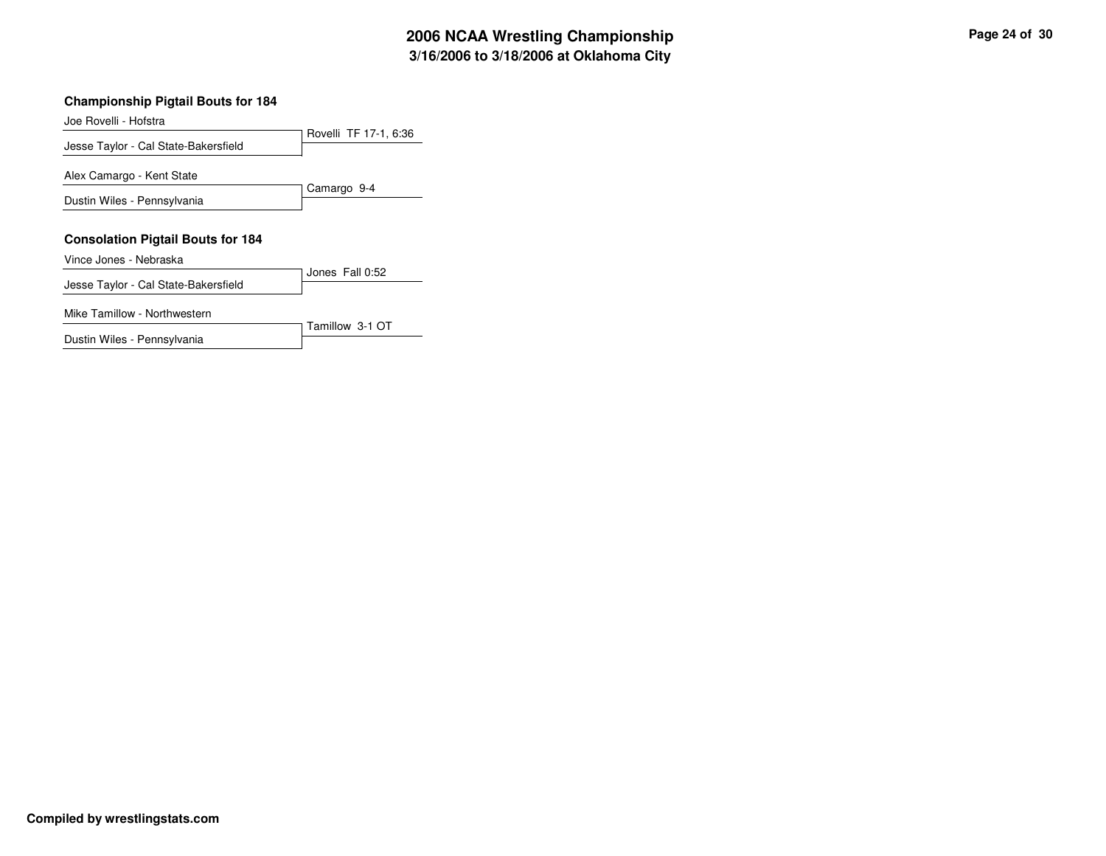#### **Championship Pigtail Bouts for 184**

Joe Rovelli - Hofstra

Rovelli TF 17-1, 6:36 Jesse Taylor - Cal State-Bakersfield Camargo 9-4 Alex Camargo - Kent State Dustin Wiles - Pennsylvania

#### **Consolation Pigtail Bouts for 184**

Vince Jones - Nebraska

Jones Fall 0:52 Jesse Taylor - Cal State-Bakersfield

Tamillow 3-1 OT

Mike Tamillow - Northwestern

Dustin Wiles - Pennsylvania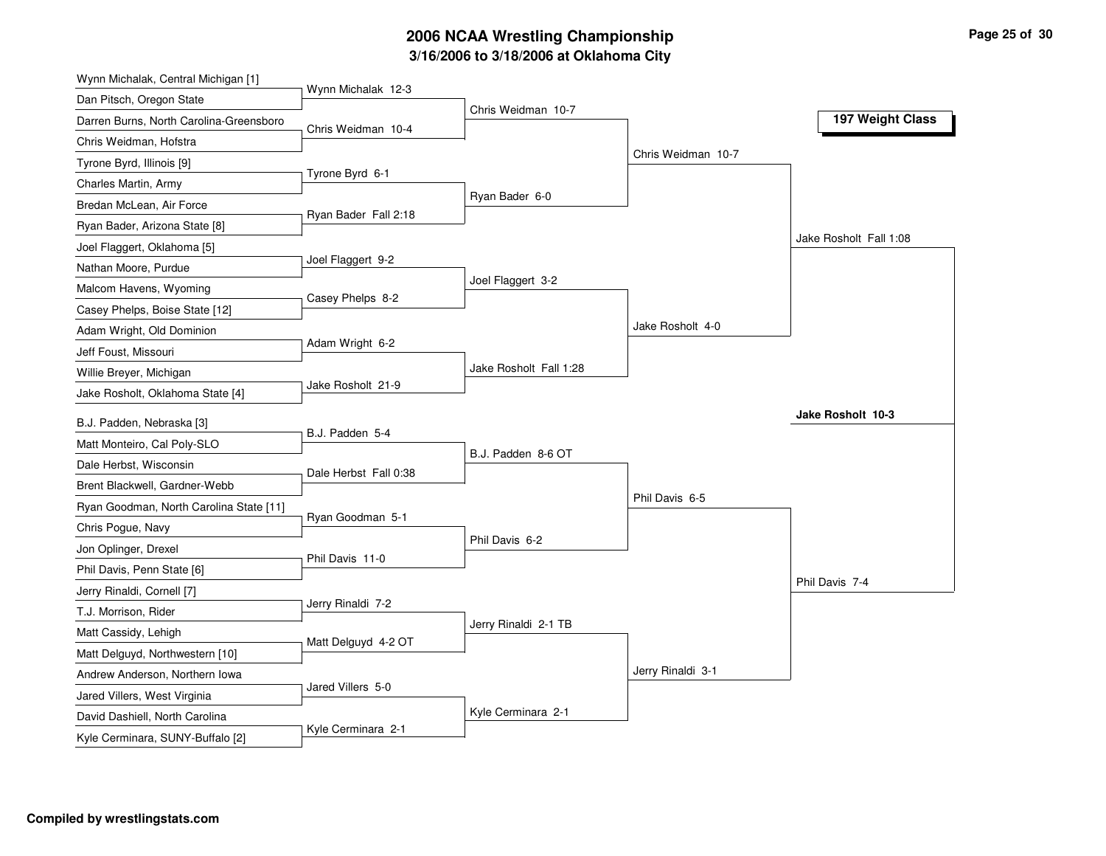# **3/16/2006 to 3/18/2006 at Oklahoma City 2006 NCAA Wrestling Championship Page 25 of 30**

| Wynn Michalak, Central Michigan [1]     |                       |                        |                    |                        |
|-----------------------------------------|-----------------------|------------------------|--------------------|------------------------|
| Dan Pitsch, Oregon State                | Wynn Michalak 12-3    |                        |                    |                        |
| Darren Burns, North Carolina-Greensboro | Chris Weidman 10-4    | Chris Weidman 10-7     |                    | 197 Weight Class       |
| Chris Weidman, Hofstra                  |                       |                        |                    |                        |
| Tyrone Byrd, Illinois [9]               |                       |                        | Chris Weidman 10-7 |                        |
| Charles Martin, Army                    | Tyrone Byrd 6-1       |                        |                    |                        |
| Bredan McLean, Air Force                |                       | Ryan Bader 6-0         |                    |                        |
| Ryan Bader, Arizona State [8]           | Ryan Bader Fall 2:18  |                        |                    |                        |
| Joel Flaggert, Oklahoma [5]             |                       |                        |                    | Jake Rosholt Fall 1:08 |
| Nathan Moore, Purdue                    | Joel Flaggert 9-2     |                        |                    |                        |
| Malcom Havens, Wyoming                  |                       | Joel Flaggert 3-2      |                    |                        |
| Casey Phelps, Boise State [12]          | Casey Phelps 8-2      |                        |                    |                        |
| Adam Wright, Old Dominion               |                       |                        | Jake Rosholt 4-0   |                        |
| Jeff Foust, Missouri                    | Adam Wright 6-2       |                        |                    |                        |
| Willie Breyer, Michigan                 |                       | Jake Rosholt Fall 1:28 |                    |                        |
| Jake Rosholt, Oklahoma State [4]        | Jake Rosholt 21-9     |                        |                    |                        |
| B.J. Padden, Nebraska [3]               |                       |                        |                    | Jake Rosholt 10-3      |
| Matt Monteiro, Cal Poly-SLO             | B.J. Padden 5-4       |                        |                    |                        |
| Dale Herbst, Wisconsin                  |                       | B.J. Padden 8-6 OT     |                    |                        |
| Brent Blackwell, Gardner-Webb           | Dale Herbst Fall 0:38 |                        |                    |                        |
| Ryan Goodman, North Carolina State [11] |                       |                        | Phil Davis 6-5     |                        |
| Chris Pogue, Navy                       | Ryan Goodman 5-1      |                        |                    |                        |
| Jon Oplinger, Drexel                    |                       | Phil Davis 6-2         |                    |                        |
| Phil Davis, Penn State [6]              | Phil Davis 11-0       |                        |                    |                        |
| Jerry Rinaldi, Cornell [7]              |                       |                        |                    | Phil Davis 7-4         |
| T.J. Morrison, Rider                    | Jerry Rinaldi 7-2     |                        |                    |                        |
| Matt Cassidy, Lehigh                    |                       | Jerry Rinaldi 2-1 TB   |                    |                        |
| Matt Delguyd, Northwestern [10]         | Matt Delguyd 4-2 OT   |                        |                    |                        |
| Andrew Anderson, Northern Iowa          |                       |                        | Jerry Rinaldi 3-1  |                        |
| Jared Villers, West Virginia            | Jared Villers 5-0     |                        |                    |                        |
| David Dashiell, North Carolina          |                       | Kyle Cerminara 2-1     |                    |                        |
| Kyle Cerminara, SUNY-Buffalo [2]        | Kyle Cerminara 2-1    |                        |                    |                        |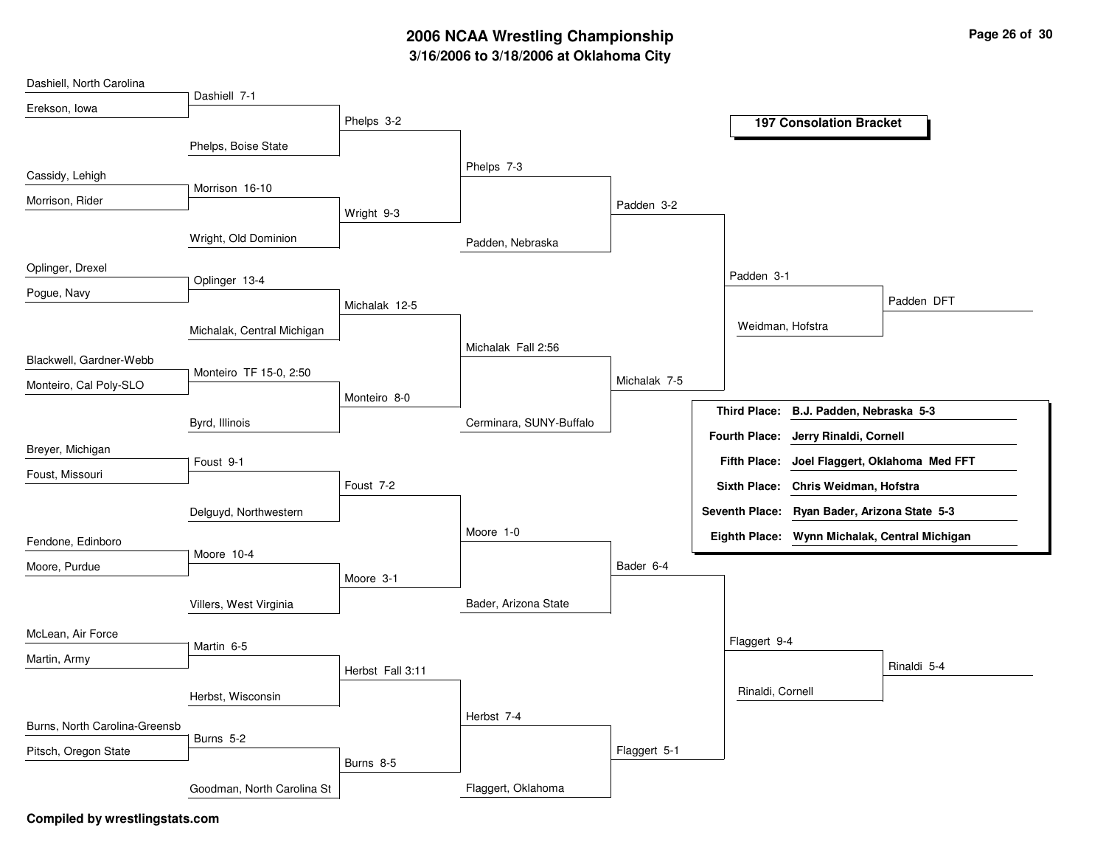# **3/16/2006 to 3/18/2006 at Oklahoma City 2006 NCAA Wrestling Championship Page 26 of 30**

| Dashiell, North Carolina      |                            |                  |                         |              |                  |                                               |             |
|-------------------------------|----------------------------|------------------|-------------------------|--------------|------------------|-----------------------------------------------|-------------|
| Erekson, Iowa                 | Dashiell 7-1               |                  |                         |              |                  |                                               |             |
|                               |                            | Phelps 3-2       |                         |              |                  | <b>197 Consolation Bracket</b>                |             |
|                               | Phelps, Boise State        |                  |                         |              |                  |                                               |             |
|                               |                            |                  | Phelps 7-3              |              |                  |                                               |             |
| Cassidy, Lehigh               | Morrison 16-10             |                  |                         |              |                  |                                               |             |
| Morrison, Rider               |                            | Wright 9-3       |                         | Padden 3-2   |                  |                                               |             |
|                               |                            |                  |                         |              |                  |                                               |             |
|                               | Wright, Old Dominion       |                  | Padden, Nebraska        |              |                  |                                               |             |
| Oplinger, Drexel              |                            |                  |                         |              |                  |                                               |             |
| Pogue, Navy                   | Oplinger 13-4              |                  |                         |              | Padden 3-1       |                                               |             |
|                               |                            | Michalak 12-5    |                         |              |                  |                                               | Padden DFT  |
|                               | Michalak, Central Michigan |                  |                         |              | Weidman, Hofstra |                                               |             |
|                               |                            |                  | Michalak Fall 2:56      |              |                  |                                               |             |
| Blackwell, Gardner-Webb       | Monteiro TF 15-0, 2:50     |                  |                         |              |                  |                                               |             |
| Monteiro, Cal Poly-SLO        |                            |                  |                         | Michalak 7-5 |                  |                                               |             |
|                               |                            | Monteiro 8-0     |                         |              |                  | Third Place: B.J. Padden, Nebraska 5-3        |             |
|                               | Byrd, Illinois             |                  | Cerminara, SUNY-Buffalo |              |                  | Fourth Place: Jerry Rinaldi, Cornell          |             |
| Breyer, Michigan              |                            |                  |                         |              |                  |                                               |             |
| Foust, Missouri               | Foust 9-1                  |                  |                         |              |                  | Fifth Place: Joel Flaggert, Oklahoma Med FFT  |             |
|                               |                            | Foust 7-2        |                         |              |                  | Sixth Place: Chris Weidman, Hofstra           |             |
|                               | Delguyd, Northwestern      |                  |                         |              |                  | Seventh Place: Ryan Bader, Arizona State 5-3  |             |
|                               |                            |                  | Moore 1-0               |              |                  | Eighth Place: Wynn Michalak, Central Michigan |             |
| Fendone, Edinboro             | Moore 10-4                 |                  |                         |              |                  |                                               |             |
| Moore, Purdue                 |                            | Moore 3-1        |                         | Bader 6-4    |                  |                                               |             |
|                               |                            |                  |                         |              |                  |                                               |             |
|                               | Villers, West Virginia     |                  | Bader, Arizona State    |              |                  |                                               |             |
| McLean, Air Force             |                            |                  |                         |              |                  |                                               |             |
| Martin, Army                  | Martin 6-5                 |                  |                         |              | Flaggert 9-4     |                                               |             |
|                               |                            | Herbst Fall 3:11 |                         |              |                  |                                               | Rinaldi 5-4 |
|                               | Herbst, Wisconsin          |                  |                         |              | Rinaldi, Cornell |                                               |             |
|                               |                            |                  | Herbst 7-4              |              |                  |                                               |             |
| Burns, North Carolina-Greensb | Burns 5-2                  |                  |                         |              |                  |                                               |             |
| Pitsch, Oregon State          |                            | Burns 8-5        |                         | Flaggert 5-1 |                  |                                               |             |
|                               |                            |                  |                         |              |                  |                                               |             |
|                               | Goodman, North Carolina St |                  | Flaggert, Oklahoma      |              |                  |                                               |             |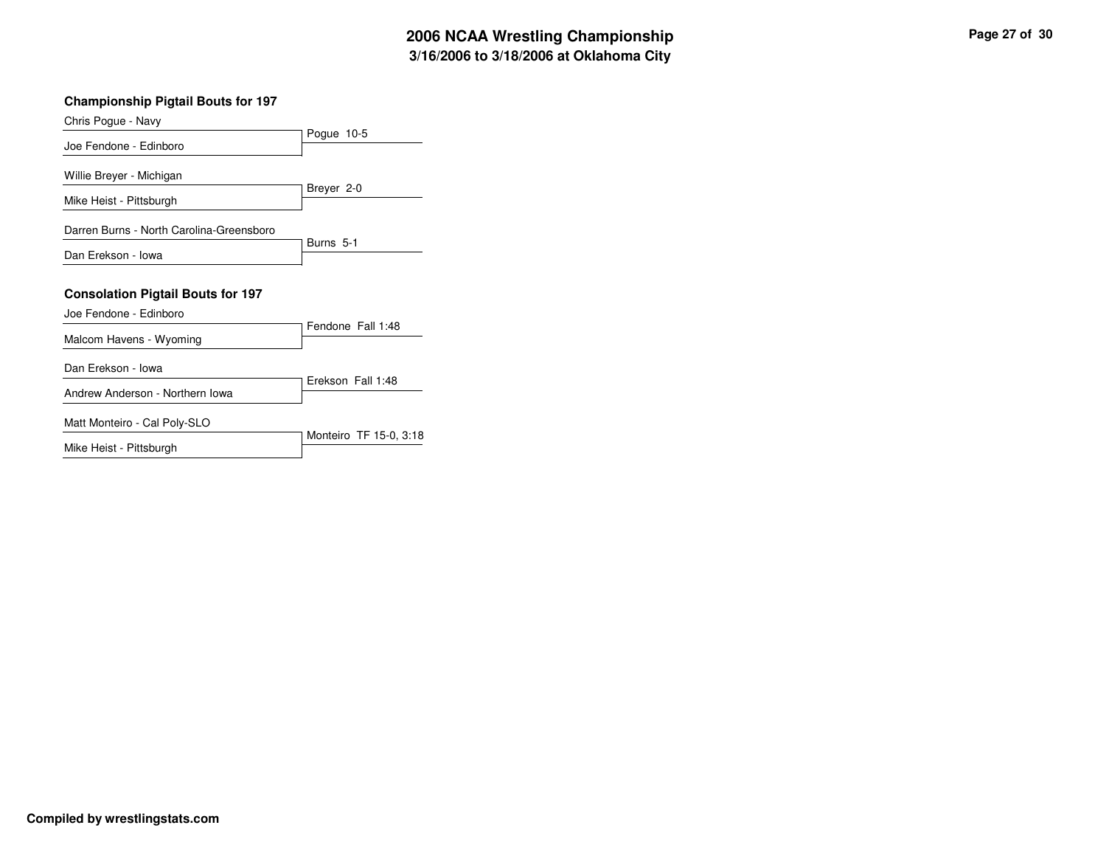| Page 27 of 30 |  |  |
|---------------|--|--|
|---------------|--|--|

| <b>Championship Pigtail Bouts for 197</b> |                        |  |  |
|-------------------------------------------|------------------------|--|--|
| Chris Pogue - Navy                        |                        |  |  |
| Joe Fendone - Edinboro                    | Pogue 10-5             |  |  |
| Willie Breyer - Michigan                  |                        |  |  |
| Mike Heist - Pittsburgh                   | Breyer 2-0             |  |  |
| Darren Burns - North Carolina-Greensboro  |                        |  |  |
| Dan Erekson - Iowa                        | Burns 5-1              |  |  |
| <b>Consolation Pigtail Bouts for 197</b>  |                        |  |  |
| Joe Fendone - Edinboro                    |                        |  |  |
| Malcom Havens - Wyoming                   | Fendone Fall 1:48      |  |  |
| Dan Erekson - Iowa                        |                        |  |  |
| Andrew Anderson - Northern Iowa           | Erekson Fall 1:48      |  |  |
| Matt Monteiro - Cal Poly-SLO              |                        |  |  |
|                                           | Monteiro TF 15-0, 3:18 |  |  |

Mike Heist - Pittsburgh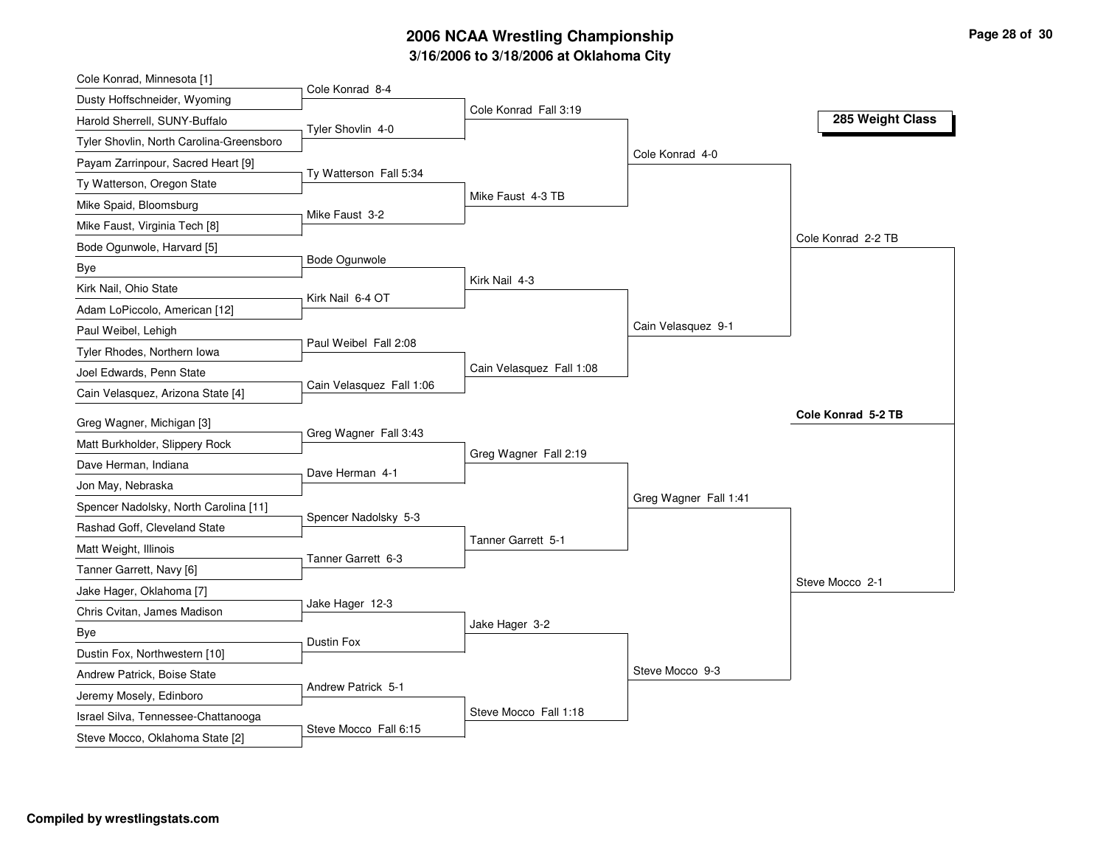# **3/16/2006 to 3/18/2006 at Oklahoma City 2006 NCAA Wrestling Championship Page 28 of 30**

| Cole Konrad, Minnesota [1]               |                          |                          |                       |                    |
|------------------------------------------|--------------------------|--------------------------|-----------------------|--------------------|
| Dusty Hoffschneider, Wyoming             | Cole Konrad 8-4          | Cole Konrad Fall 3:19    |                       |                    |
| Harold Sherrell, SUNY-Buffalo            | Tyler Shovlin 4-0        |                          |                       | 285 Weight Class   |
| Tyler Shovlin, North Carolina-Greensboro |                          |                          |                       |                    |
| Payam Zarrinpour, Sacred Heart [9]       |                          |                          | Cole Konrad 4-0       |                    |
| Ty Watterson, Oregon State               | Ty Watterson Fall 5:34   |                          |                       |                    |
| Mike Spaid, Bloomsburg                   |                          | Mike Faust 4-3 TB        |                       |                    |
| Mike Faust, Virginia Tech [8]            | Mike Faust 3-2           |                          |                       |                    |
| Bode Ogunwole, Harvard [5]               |                          |                          |                       | Cole Konrad 2-2 TB |
| Bye                                      | Bode Ogunwole            |                          |                       |                    |
| Kirk Nail, Ohio State                    | Kirk Nail 6-4 OT         | Kirk Nail 4-3            |                       |                    |
| Adam LoPiccolo, American [12]            |                          |                          |                       |                    |
| Paul Weibel, Lehigh                      |                          |                          | Cain Velasquez 9-1    |                    |
| Tyler Rhodes, Northern Iowa              | Paul Weibel Fall 2:08    |                          |                       |                    |
| Joel Edwards, Penn State                 |                          | Cain Velasquez Fall 1:08 |                       |                    |
| Cain Velasquez, Arizona State [4]        | Cain Velasquez Fall 1:06 |                          |                       |                    |
| Greg Wagner, Michigan [3]                |                          |                          |                       | Cole Konrad 5-2 TB |
| Matt Burkholder, Slippery Rock           | Greg Wagner Fall 3:43    |                          |                       |                    |
| Dave Herman, Indiana                     |                          | Greg Wagner Fall 2:19    |                       |                    |
| Jon May, Nebraska                        | Dave Herman 4-1          |                          |                       |                    |
| Spencer Nadolsky, North Carolina [11]    |                          |                          | Greg Wagner Fall 1:41 |                    |
| Rashad Goff, Cleveland State             | Spencer Nadolsky 5-3     |                          |                       |                    |
| Matt Weight, Illinois                    |                          | Tanner Garrett 5-1       |                       |                    |
| Tanner Garrett, Navy [6]                 | Tanner Garrett 6-3       |                          |                       |                    |
| Jake Hager, Oklahoma [7]                 |                          |                          |                       | Steve Mocco 2-1    |
| Chris Cvitan, James Madison              | Jake Hager 12-3          |                          |                       |                    |
| Bye                                      |                          | Jake Hager 3-2           |                       |                    |
| Dustin Fox, Northwestern [10]            | Dustin Fox               |                          |                       |                    |
| Andrew Patrick, Boise State              |                          |                          | Steve Mocco 9-3       |                    |
| Jeremy Mosely, Edinboro                  | Andrew Patrick 5-1       |                          |                       |                    |
| Israel Silva, Tennessee-Chattanooga      |                          | Steve Mocco Fall 1:18    |                       |                    |
| Steve Mocco, Oklahoma State [2]          | Steve Mocco Fall 6:15    |                          |                       |                    |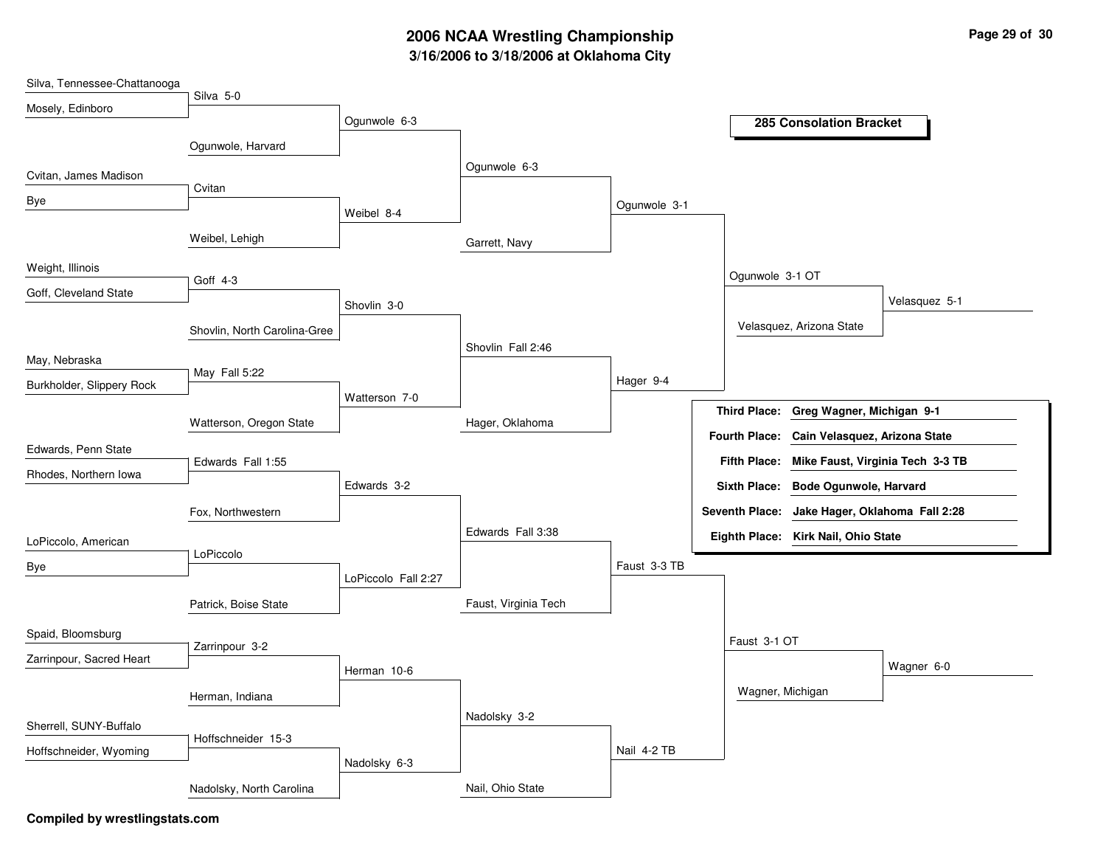# **3/16/2006 to 3/18/2006 at Oklahoma City 2006 NCAA Wrestling Championship Page 29 of 30**

| Silva, Tennessee-Chattanooga | Silva 5-0                    |                     |                      |              |                       |                                     |
|------------------------------|------------------------------|---------------------|----------------------|--------------|-----------------------|-------------------------------------|
| Mosely, Edinboro             |                              |                     |                      |              |                       |                                     |
|                              |                              | Ogunwole 6-3        |                      |              |                       | <b>285 Consolation Bracket</b>      |
|                              | Ogunwole, Harvard            |                     |                      |              |                       |                                     |
| Cvitan, James Madison        |                              |                     | Ogunwole 6-3         |              |                       |                                     |
| Bye                          | Cvitan                       |                     |                      | Ogunwole 3-1 |                       |                                     |
|                              |                              | Weibel 8-4          |                      |              |                       |                                     |
|                              | Weibel, Lehigh               |                     | Garrett, Navy        |              |                       |                                     |
| Weight, Illinois             |                              |                     |                      |              | Ogunwole 3-1 OT       |                                     |
| Goff, Cleveland State        | Goff 4-3                     |                     |                      |              |                       |                                     |
|                              |                              | Shovlin 3-0         |                      |              |                       | Velasquez 5-1                       |
|                              | Shovlin, North Carolina-Gree |                     |                      |              |                       | Velasquez, Arizona State            |
| May, Nebraska                |                              |                     | Shovlin Fall 2:46    |              |                       |                                     |
| Burkholder, Slippery Rock    | May Fall 5:22                |                     |                      | Hager 9-4    |                       |                                     |
|                              |                              | Watterson 7-0       |                      |              | <b>Third Place:</b>   | Greg Wagner, Michigan 9-1           |
|                              | Watterson, Oregon State      |                     | Hager, Oklahoma      |              |                       |                                     |
| Edwards, Penn State          |                              |                     |                      |              | <b>Fourth Place:</b>  | Cain Velasquez, Arizona State       |
| Rhodes, Northern Iowa        | Edwards Fall 1:55            |                     |                      |              | <b>Fifth Place:</b>   | Mike Faust, Virginia Tech 3-3 TB    |
|                              |                              | Edwards 3-2         |                      |              |                       | Sixth Place: Bode Ogunwole, Harvard |
|                              | Fox, Northwestern            |                     |                      |              | <b>Seventh Place:</b> | Jake Hager, Oklahoma Fall 2:28      |
| LoPiccolo, American          |                              |                     | Edwards Fall 3:38    |              |                       | Eighth Place: Kirk Nail, Ohio State |
| Bye                          | LoPiccolo                    |                     |                      | Faust 3-3 TB |                       |                                     |
|                              |                              | LoPiccolo Fall 2:27 |                      |              |                       |                                     |
|                              | Patrick, Boise State         |                     | Faust, Virginia Tech |              |                       |                                     |
| Spaid, Bloomsburg            |                              |                     |                      |              |                       |                                     |
| Zarrinpour, Sacred Heart     | Zarrinpour 3-2               |                     |                      |              | Faust 3-1 OT          |                                     |
|                              |                              | Herman 10-6         |                      |              |                       | Wagner 6-0                          |
|                              | Herman, Indiana              |                     |                      |              | Wagner, Michigan      |                                     |
| Sherrell, SUNY-Buffalo       |                              |                     | Nadolsky 3-2         |              |                       |                                     |
|                              | Hoffschneider 15-3           |                     |                      | Nail 4-2 TB  |                       |                                     |
| Hoffschneider, Wyoming       |                              | Nadolsky 6-3        |                      |              |                       |                                     |
|                              | Nadolsky, North Carolina     |                     | Nail, Ohio State     |              |                       |                                     |